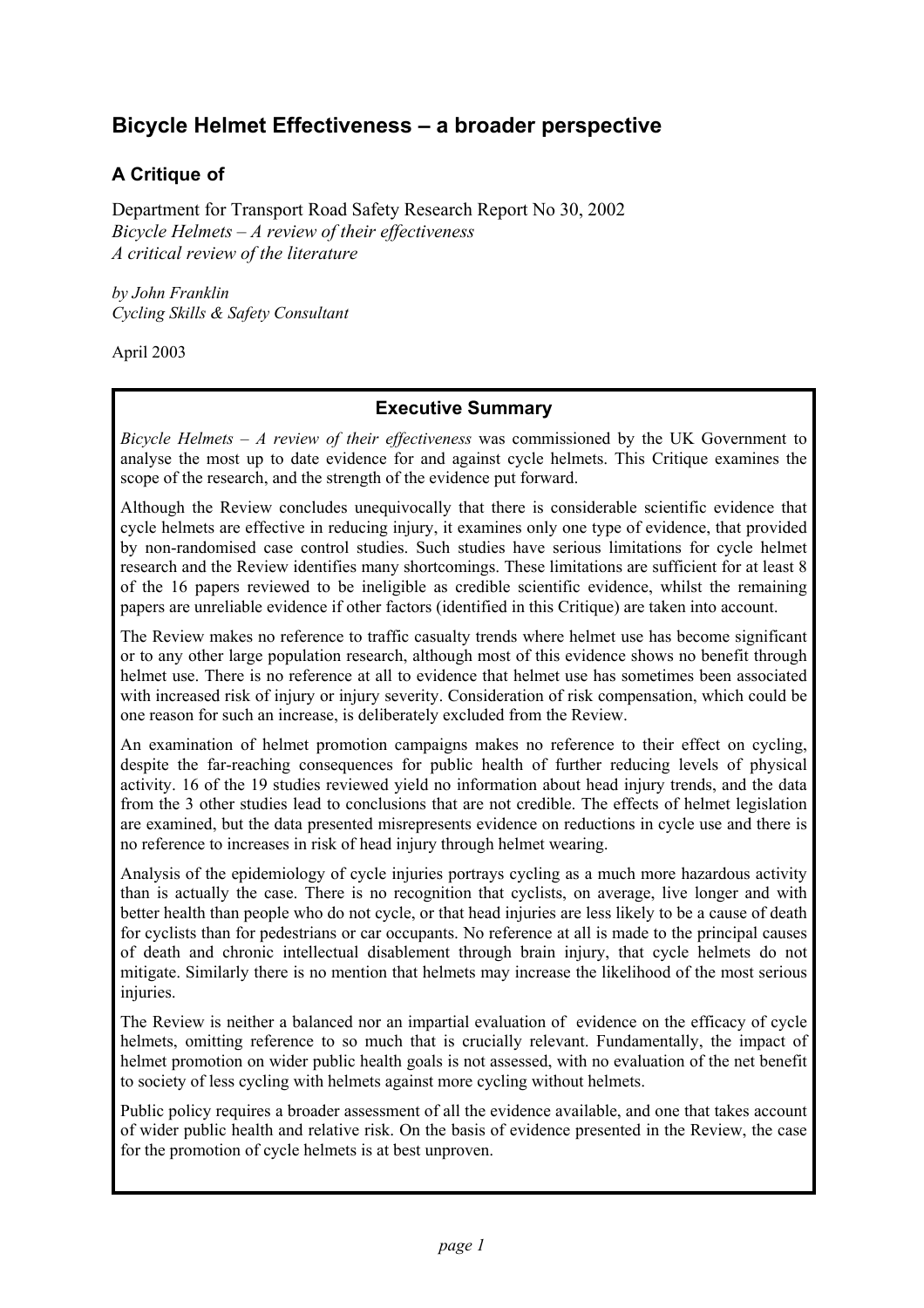# **Bicycle Helmet Effectiveness – a broader perspective**

# **A Critique of**

Department for Transport Road Safety Research Report No 30, 2002 *Bicycle Helmets – A review of their effectiveness A critical review of the literature*

*by John Franklin Cycling Skills & Safety Consultant*

April 2003

## **Executive Summary**

*Bicycle Helmets – A review of their effectiveness* was commissioned by the UK Government to analyse the most up to date evidence for and against cycle helmets. This Critique examines the scope of the research, and the strength of the evidence put forward.

Although the Review concludes unequivocally that there is considerable scientific evidence that cycle helmets are effective in reducing injury, it examines only one type of evidence, that provided by non-randomised case control studies. Such studies have serious limitations for cycle helmet research and the Review identifies many shortcomings. These limitations are sufficient for at least 8 of the 16 papers reviewed to be ineligible as credible scientific evidence, whilst the remaining papers are unreliable evidence if other factors (identified in this Critique) are taken into account.

The Review makes no reference to traffic casualty trends where helmet use has become significant or to any other large population research, although most of this evidence shows no benefit through helmet use. There is no reference at all to evidence that helmet use has sometimes been associated with increased risk of injury or injury severity. Consideration of risk compensation, which could be one reason for such an increase, is deliberately excluded from the Review.

An examination of helmet promotion campaigns makes no reference to their effect on cycling, despite the far-reaching consequences for public health of further reducing levels of physical activity. 16 of the 19 studies reviewed yield no information about head injury trends, and the data from the 3 other studies lead to conclusions that are not credible. The effects of helmet legislation are examined, but the data presented misrepresents evidence on reductions in cycle use and there is no reference to increases in risk of head injury through helmet wearing.

Analysis of the epidemiology of cycle injuries portrays cycling as a much more hazardous activity than is actually the case. There is no recognition that cyclists, on average, live longer and with better health than people who do not cycle, or that head injuries are less likely to be a cause of death for cyclists than for pedestrians or car occupants. No reference at all is made to the principal causes of death and chronic intellectual disablement through brain injury, that cycle helmets do not mitigate. Similarly there is no mention that helmets may increase the likelihood of the most serious injuries.

The Review is neither a balanced nor an impartial evaluation of evidence on the efficacy of cycle helmets, omitting reference to so much that is crucially relevant. Fundamentally, the impact of helmet promotion on wider public health goals is not assessed, with no evaluation of the net benefit to society of less cycling with helmets against more cycling without helmets.

Public policy requires a broader assessment of all the evidence available, and one that takes account of wider public health and relative risk. On the basis of evidence presented in the Review, the case for the promotion of cycle helmets is at best unproven.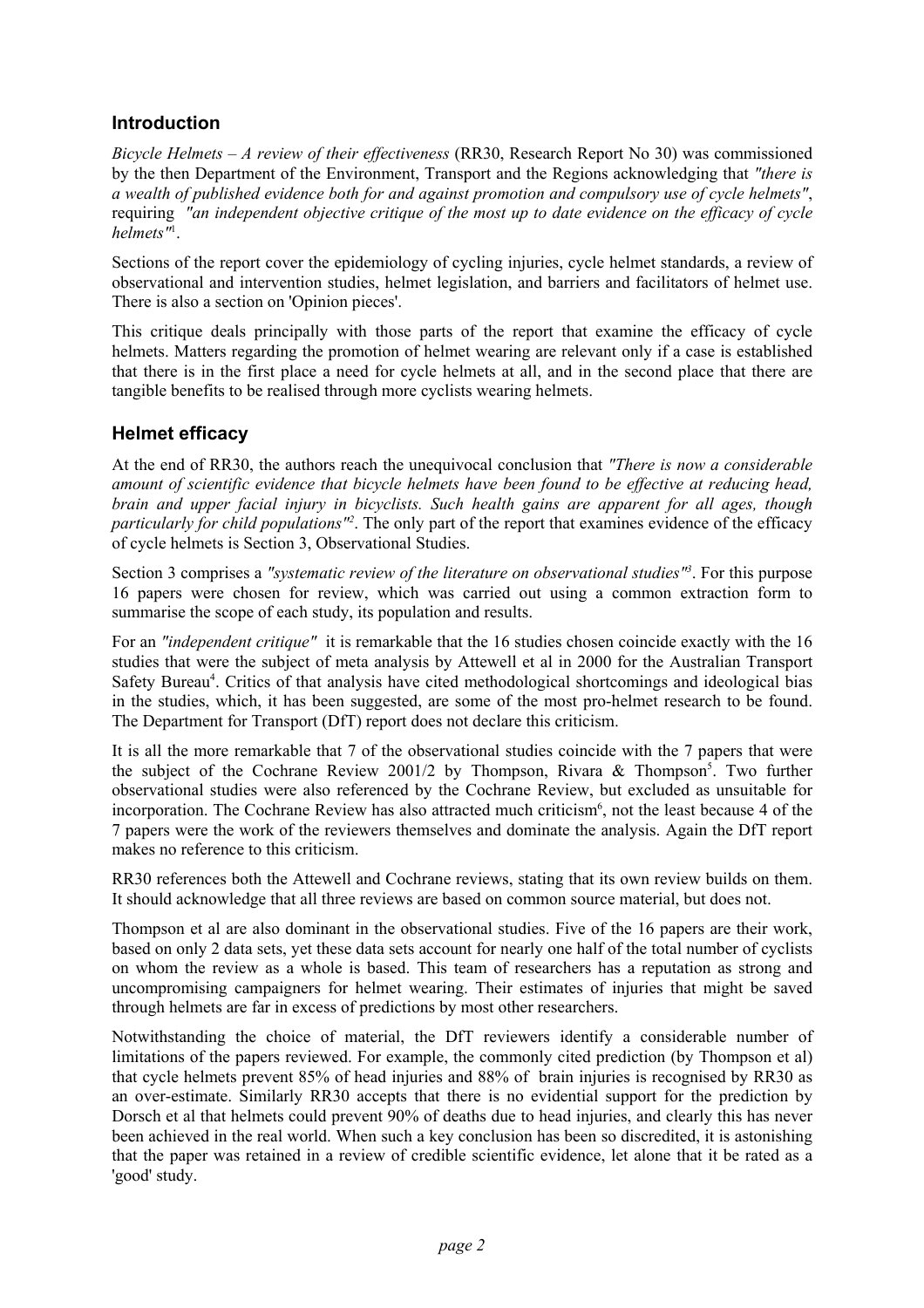## **Introduction**

*Bicycle Helmets – A review of their effectiveness* (RR30, Research Report No 30) was commissioned by the then Department of the Environment, Transport and the Regions acknowledging that *"there is a wealth of published evidence both for and against promotion and compulsory use of cycle helmets"*, requiring *"an independent objective critique of the most up to date evidence on the efficacy of cycle helmets"*<sup>1</sup> .

Sections of the report cover the epidemiology of cycling injuries, cycle helmet standards, a review of observational and intervention studies, helmet legislation, and barriers and facilitators of helmet use. There is also a section on 'Opinion pieces'.

This critique deals principally with those parts of the report that examine the efficacy of cycle helmets. Matters regarding the promotion of helmet wearing are relevant only if a case is established that there is in the first place a need for cycle helmets at all, and in the second place that there are tangible benefits to be realised through more cyclists wearing helmets.

## **Helmet efficacy**

At the end of RR30, the authors reach the unequivocal conclusion that *"There is now a considerable amount of scientific evidence that bicycle helmets have been found to be effective at reducing head, brain and upper facial injury in bicyclists. Such health gains are apparent for all ages, though particularly for child populations"2* . The only part of the report that examines evidence of the efficacy of cycle helmets is Section 3, Observational Studies.

Section 3 comprises a *"systematic review of the literature on observational studies"3* . For this purpose 16 papers were chosen for review, which was carried out using a common extraction form to summarise the scope of each study, its population and results.

For an *"independent critique"* it is remarkable that the 16 studies chosen coincide exactly with the 16 studies that were the subject of meta analysis by Attewell et al in 2000 for the Australian Transport Safety Bureau<sup>4</sup>. Critics of that analysis have cited methodological shortcomings and ideological bias in the studies, which, it has been suggested, are some of the most pro-helmet research to be found. The Department for Transport (DfT) report does not declare this criticism.

It is all the more remarkable that 7 of the observational studies coincide with the 7 papers that were the subject of the Cochrane Review 2001/2 by Thompson, Rivara & Thompson<sup>5</sup>. Two further observational studies were also referenced by the Cochrane Review, but excluded as unsuitable for incorporation. The Cochrane Review has also attracted much criticism<sup>6</sup>, not the least because 4 of the 7 papers were the work of the reviewers themselves and dominate the analysis. Again the DfT report makes no reference to this criticism.

RR30 references both the Attewell and Cochrane reviews, stating that its own review builds on them. It should acknowledge that all three reviews are based on common source material, but does not.

Thompson et al are also dominant in the observational studies. Five of the 16 papers are their work, based on only 2 data sets, yet these data sets account for nearly one half of the total number of cyclists on whom the review as a whole is based. This team of researchers has a reputation as strong and uncompromising campaigners for helmet wearing. Their estimates of injuries that might be saved through helmets are far in excess of predictions by most other researchers.

Notwithstanding the choice of material, the DfT reviewers identify a considerable number of limitations of the papers reviewed. For example, the commonly cited prediction (by Thompson et al) that cycle helmets prevent 85% of head injuries and 88% of brain injuries is recognised by RR30 as an over-estimate. Similarly RR30 accepts that there is no evidential support for the prediction by Dorsch et al that helmets could prevent 90% of deaths due to head injuries, and clearly this has never been achieved in the real world. When such a key conclusion has been so discredited, it is astonishing that the paper was retained in a review of credible scientific evidence, let alone that it be rated as a 'good' study.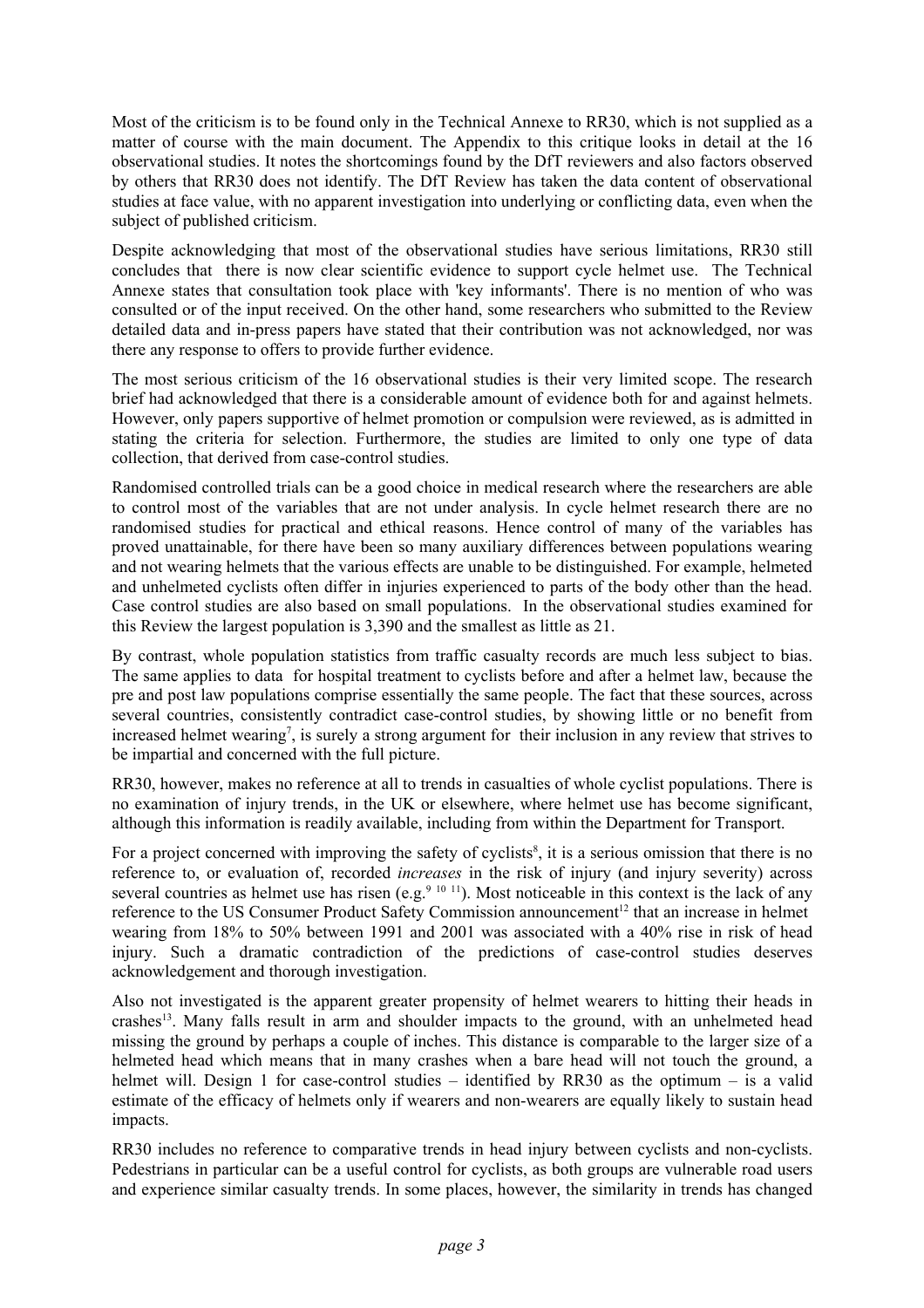Most of the criticism is to be found only in the Technical Annexe to RR30, which is not supplied as a matter of course with the main document. The Appendix to this critique looks in detail at the 16 observational studies. It notes the shortcomings found by the DfT reviewers and also factors observed by others that RR30 does not identify. The DfT Review has taken the data content of observational studies at face value, with no apparent investigation into underlying or conflicting data, even when the subject of published criticism.

Despite acknowledging that most of the observational studies have serious limitations, RR30 still concludes that there is now clear scientific evidence to support cycle helmet use. The Technical Annexe states that consultation took place with 'key informants'. There is no mention of who was consulted or of the input received. On the other hand, some researchers who submitted to the Review detailed data and in-press papers have stated that their contribution was not acknowledged, nor was there any response to offers to provide further evidence.

The most serious criticism of the 16 observational studies is their very limited scope. The research brief had acknowledged that there is a considerable amount of evidence both for and against helmets. However, only papers supportive of helmet promotion or compulsion were reviewed, as is admitted in stating the criteria for selection. Furthermore, the studies are limited to only one type of data collection, that derived from case-control studies.

Randomised controlled trials can be a good choice in medical research where the researchers are able to control most of the variables that are not under analysis. In cycle helmet research there are no randomised studies for practical and ethical reasons. Hence control of many of the variables has proved unattainable, for there have been so many auxiliary differences between populations wearing and not wearing helmets that the various effects are unable to be distinguished. For example, helmeted and unhelmeted cyclists often differ in injuries experienced to parts of the body other than the head. Case control studies are also based on small populations. In the observational studies examined for this Review the largest population is 3,390 and the smallest as little as 21.

By contrast, whole population statistics from traffic casualty records are much less subject to bias. The same applies to data for hospital treatment to cyclists before and after a helmet law, because the pre and post law populations comprise essentially the same people. The fact that these sources, across several countries, consistently contradict case-control studies, by showing little or no benefit from increased helmet wearing<sup>7</sup>, is surely a strong argument for their inclusion in any review that strives to be impartial and concerned with the full picture.

RR30, however, makes no reference at all to trends in casualties of whole cyclist populations. There is no examination of injury trends, in the UK or elsewhere, where helmet use has become significant, although this information is readily available, including from within the Department for Transport.

For a project concerned with improving the safety of cyclists<sup>8</sup>, it is a serious omission that there is no reference to, or evaluation of, recorded *increases* in the risk of injury (and injury severity) across several countries as helmet use has risen (e.g.<sup>9 10 11</sup>). Most noticeable in this context is the lack of any reference to the US Consumer Product Safety Commission announcement<sup>12</sup> that an increase in helmet wearing from 18% to 50% between 1991 and 2001 was associated with a 40% rise in risk of head injury. Such a dramatic contradiction of the predictions of case-control studies deserves acknowledgement and thorough investigation.

Also not investigated is the apparent greater propensity of helmet wearers to hitting their heads in crashes<sup>13</sup>. Many falls result in arm and shoulder impacts to the ground, with an unhelmeted head missing the ground by perhaps a couple of inches. This distance is comparable to the larger size of a helmeted head which means that in many crashes when a bare head will not touch the ground, a helmet will. Design 1 for case-control studies – identified by RR30 as the optimum – is a valid estimate of the efficacy of helmets only if wearers and non-wearers are equally likely to sustain head impacts.

RR30 includes no reference to comparative trends in head injury between cyclists and non-cyclists. Pedestrians in particular can be a useful control for cyclists, as both groups are vulnerable road users and experience similar casualty trends. In some places, however, the similarity in trends has changed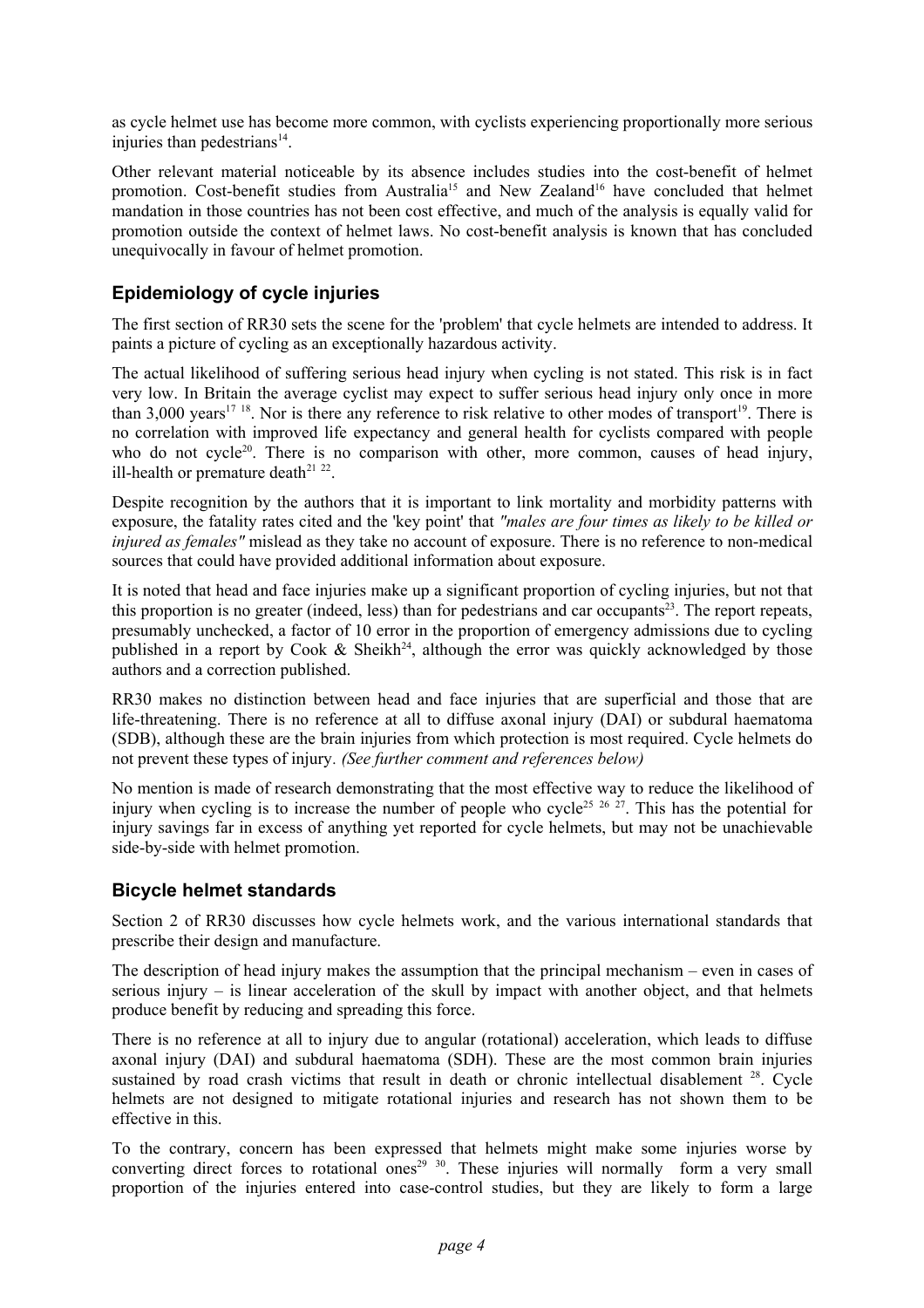as cycle helmet use has become more common, with cyclists experiencing proportionally more serious injuries than pedestrians $14$ .

Other relevant material noticeable by its absence includes studies into the cost-benefit of helmet promotion. Cost-benefit studies from Australia<sup>15</sup> and New Zealand<sup>16</sup> have concluded that helmet mandation in those countries has not been cost effective, and much of the analysis is equally valid for promotion outside the context of helmet laws. No cost-benefit analysis is known that has concluded unequivocally in favour of helmet promotion.

## **Epidemiology of cycle injuries**

The first section of RR30 sets the scene for the 'problem' that cycle helmets are intended to address. It paints a picture of cycling as an exceptionally hazardous activity.

The actual likelihood of suffering serious head injury when cycling is not stated. This risk is in fact very low. In Britain the average cyclist may expect to suffer serious head injury only once in more than 3,000 years<sup>17 18</sup>. Nor is there any reference to risk relative to other modes of transport<sup>19</sup>. There is no correlation with improved life expectancy and general health for cyclists compared with people who do not cycle<sup>20</sup>. There is no comparison with other, more common, causes of head injury, ill-health or premature death $2^{122}$ .

Despite recognition by the authors that it is important to link mortality and morbidity patterns with exposure, the fatality rates cited and the 'key point' that *"males are four times as likely to be killed or injured as females"* mislead as they take no account of exposure. There is no reference to non-medical sources that could have provided additional information about exposure.

It is noted that head and face injuries make up a significant proportion of cycling injuries, but not that this proportion is no greater (indeed, less) than for pedestrians and car occupants<sup>23</sup>. The report repeats, presumably unchecked, a factor of 10 error in the proportion of emergency admissions due to cycling published in a report by Cook & Sheikh<sup>24</sup>, although the error was quickly acknowledged by those authors and a correction published.

RR30 makes no distinction between head and face injuries that are superficial and those that are life-threatening. There is no reference at all to diffuse axonal injury (DAI) or subdural haematoma (SDB), although these are the brain injuries from which protection is most required. Cycle helmets do not prevent these types of injury*. (See further comment and references below)*

No mention is made of research demonstrating that the most effective way to reduce the likelihood of injury when cycling is to increase the number of people who cycle<sup>25 26 27</sup>. This has the potential for injury savings far in excess of anything yet reported for cycle helmets, but may not be unachievable side-by-side with helmet promotion.

## **Bicycle helmet standards**

Section 2 of RR30 discusses how cycle helmets work, and the various international standards that prescribe their design and manufacture.

The description of head injury makes the assumption that the principal mechanism – even in cases of serious injury – is linear acceleration of the skull by impact with another object, and that helmets produce benefit by reducing and spreading this force.

There is no reference at all to injury due to angular (rotational) acceleration, which leads to diffuse axonal injury (DAI) and subdural haematoma (SDH). These are the most common brain injuries sustained by road crash victims that result in death or chronic intellectual disablement <sup>28</sup>. Cycle helmets are not designed to mitigate rotational injuries and research has not shown them to be effective in this.

To the contrary, concern has been expressed that helmets might make some injuries worse by converting direct forces to rotational ones<sup>29</sup> <sup>30</sup>. These injuries will normally form a very small proportion of the injuries entered into case-control studies, but they are likely to form a large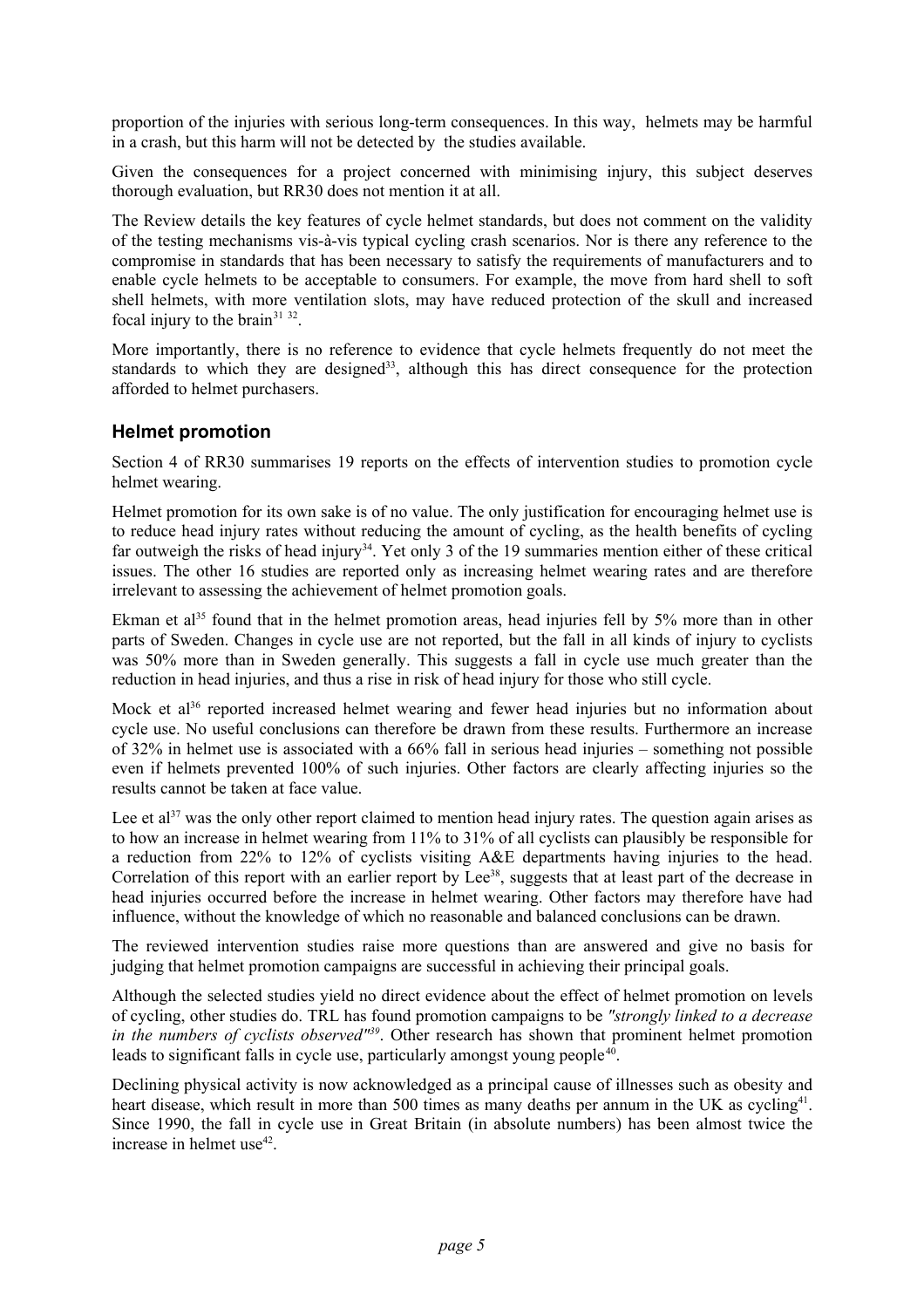proportion of the injuries with serious long-term consequences. In this way, helmets may be harmful in a crash, but this harm will not be detected by the studies available.

Given the consequences for a project concerned with minimising injury, this subject deserves thorough evaluation, but RR30 does not mention it at all.

The Review details the key features of cycle helmet standards, but does not comment on the validity of the testing mechanisms vis-à-vis typical cycling crash scenarios. Nor is there any reference to the compromise in standards that has been necessary to satisfy the requirements of manufacturers and to enable cycle helmets to be acceptable to consumers. For example, the move from hard shell to soft shell helmets, with more ventilation slots, may have reduced protection of the skull and increased focal injury to the brain<sup>31 32</sup>.

More importantly, there is no reference to evidence that cycle helmets frequently do not meet the standards to which they are designed<sup>33</sup>, although this has direct consequence for the protection afforded to helmet purchasers.

## **Helmet promotion**

Section 4 of RR30 summarises 19 reports on the effects of intervention studies to promotion cycle helmet wearing.

Helmet promotion for its own sake is of no value. The only justification for encouraging helmet use is to reduce head injury rates without reducing the amount of cycling, as the health benefits of cycling far outweigh the risks of head injury<sup>34</sup>. Yet only 3 of the 19 summaries mention either of these critical issues. The other 16 studies are reported only as increasing helmet wearing rates and are therefore irrelevant to assessing the achievement of helmet promotion goals.

Ekman et al<sup>35</sup> found that in the helmet promotion areas, head injuries fell by  $5\%$  more than in other parts of Sweden. Changes in cycle use are not reported, but the fall in all kinds of injury to cyclists was 50% more than in Sweden generally. This suggests a fall in cycle use much greater than the reduction in head injuries, and thus a rise in risk of head injury for those who still cycle.

Mock et al<sup>36</sup> reported increased helmet wearing and fewer head injuries but no information about cycle use. No useful conclusions can therefore be drawn from these results. Furthermore an increase of 32% in helmet use is associated with a 66% fall in serious head injuries – something not possible even if helmets prevented 100% of such injuries. Other factors are clearly affecting injuries so the results cannot be taken at face value.

Lee et al<sup>37</sup> was the only other report claimed to mention head injury rates. The question again arises as to how an increase in helmet wearing from 11% to 31% of all cyclists can plausibly be responsible for a reduction from 22% to 12% of cyclists visiting A&E departments having injuries to the head. Correlation of this report with an earlier report by Lee<sup>38</sup>, suggests that at least part of the decrease in head injuries occurred before the increase in helmet wearing. Other factors may therefore have had influence, without the knowledge of which no reasonable and balanced conclusions can be drawn.

The reviewed intervention studies raise more questions than are answered and give no basis for judging that helmet promotion campaigns are successful in achieving their principal goals.

Although the selected studies yield no direct evidence about the effect of helmet promotion on levels of cycling, other studies do. TRL has found promotion campaigns to be *"strongly linked to a decrease in the numbers of cyclists observed"39*. Other research has shown that prominent helmet promotion leads to significant falls in cycle use, particularly amongst young people<sup>40</sup>.

Declining physical activity is now acknowledged as a principal cause of illnesses such as obesity and heart disease, which result in more than 500 times as many deaths per annum in the UK as cycling<sup>41</sup>. Since 1990, the fall in cycle use in Great Britain (in absolute numbers) has been almost twice the increase in helmet  $use^{42}$ .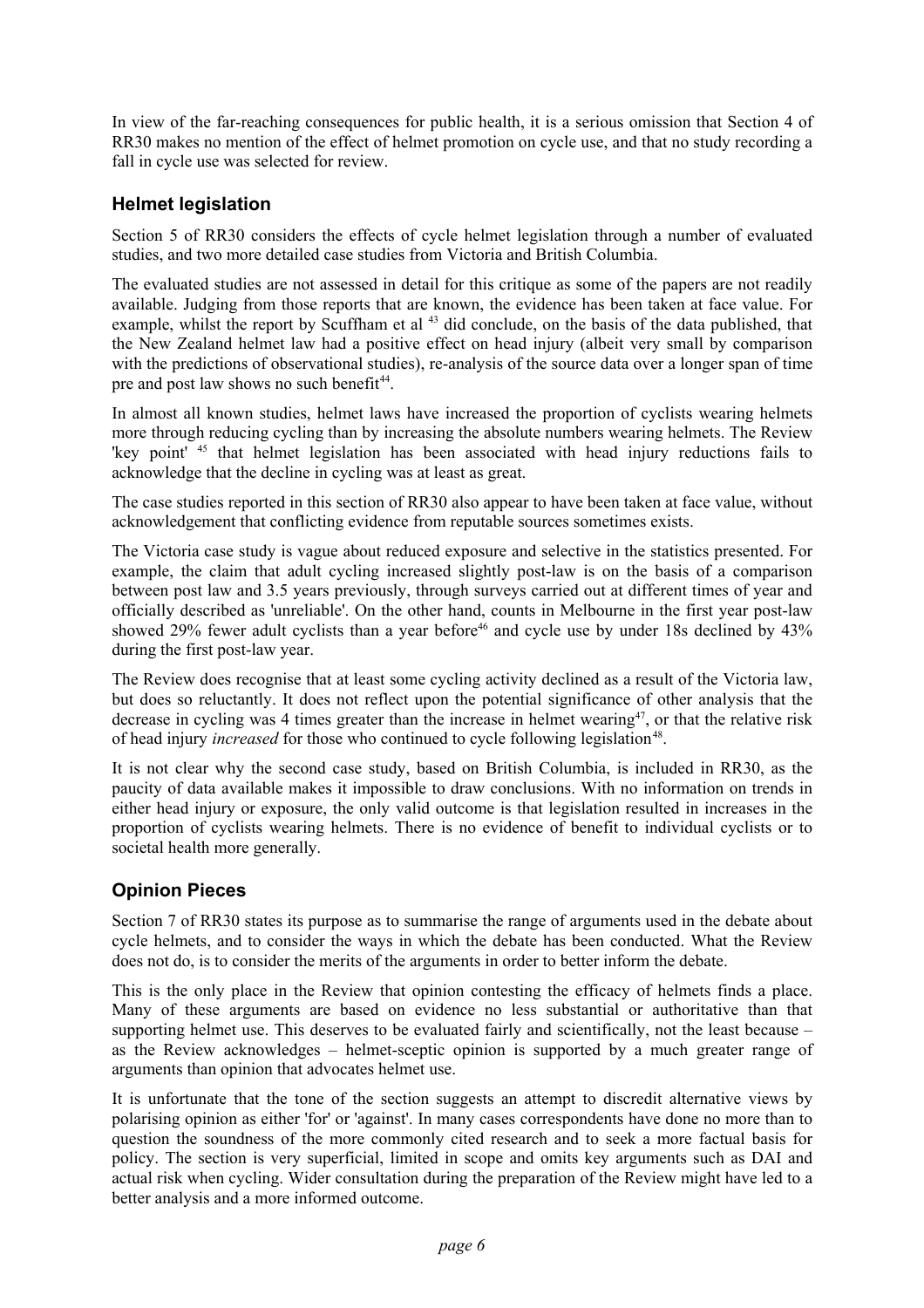In view of the far-reaching consequences for public health, it is a serious omission that Section 4 of RR30 makes no mention of the effect of helmet promotion on cycle use, and that no study recording a fall in cycle use was selected for review.

# **Helmet legislation**

Section 5 of RR30 considers the effects of cycle helmet legislation through a number of evaluated studies, and two more detailed case studies from Victoria and British Columbia.

The evaluated studies are not assessed in detail for this critique as some of the papers are not readily available. Judging from those reports that are known, the evidence has been taken at face value. For example, whilst the report by Scuffham et al <sup>43</sup> did conclude, on the basis of the data published, that the New Zealand helmet law had a positive effect on head injury (albeit very small by comparison with the predictions of observational studies), re-analysis of the source data over a longer span of time pre and post law shows no such benefit<sup>44</sup>.

In almost all known studies, helmet laws have increased the proportion of cyclists wearing helmets more through reducing cycling than by increasing the absolute numbers wearing helmets. The Review 'key point' 45 that helmet legislation has been associated with head injury reductions fails to acknowledge that the decline in cycling was at least as great.

The case studies reported in this section of RR30 also appear to have been taken at face value, without acknowledgement that conflicting evidence from reputable sources sometimes exists.

The Victoria case study is vague about reduced exposure and selective in the statistics presented. For example, the claim that adult cycling increased slightly post-law is on the basis of a comparison between post law and 3.5 years previously, through surveys carried out at different times of year and officially described as 'unreliable'. On the other hand, counts in Melbourne in the first year post-law showed 29% fewer adult cyclists than a year before<sup>46</sup> and cycle use by under 18s declined by  $43\%$ during the first post-law year.

The Review does recognise that at least some cycling activity declined as a result of the Victoria law, but does so reluctantly. It does not reflect upon the potential significance of other analysis that the decrease in cycling was 4 times greater than the increase in helmet wearing<sup>47</sup>, or that the relative risk of head injury *increased* for those who continued to cycle following legislation<sup>48</sup>.

It is not clear why the second case study, based on British Columbia, is included in RR30, as the paucity of data available makes it impossible to draw conclusions. With no information on trends in either head injury or exposure, the only valid outcome is that legislation resulted in increases in the proportion of cyclists wearing helmets. There is no evidence of benefit to individual cyclists or to societal health more generally.

# **Opinion Pieces**

Section 7 of RR30 states its purpose as to summarise the range of arguments used in the debate about cycle helmets, and to consider the ways in which the debate has been conducted. What the Review does not do, is to consider the merits of the arguments in order to better inform the debate.

This is the only place in the Review that opinion contesting the efficacy of helmets finds a place. Many of these arguments are based on evidence no less substantial or authoritative than that supporting helmet use. This deserves to be evaluated fairly and scientifically, not the least because – as the Review acknowledges – helmet-sceptic opinion is supported by a much greater range of arguments than opinion that advocates helmet use.

It is unfortunate that the tone of the section suggests an attempt to discredit alternative views by polarising opinion as either 'for' or 'against'. In many cases correspondents have done no more than to question the soundness of the more commonly cited research and to seek a more factual basis for policy. The section is very superficial, limited in scope and omits key arguments such as DAI and actual risk when cycling. Wider consultation during the preparation of the Review might have led to a better analysis and a more informed outcome.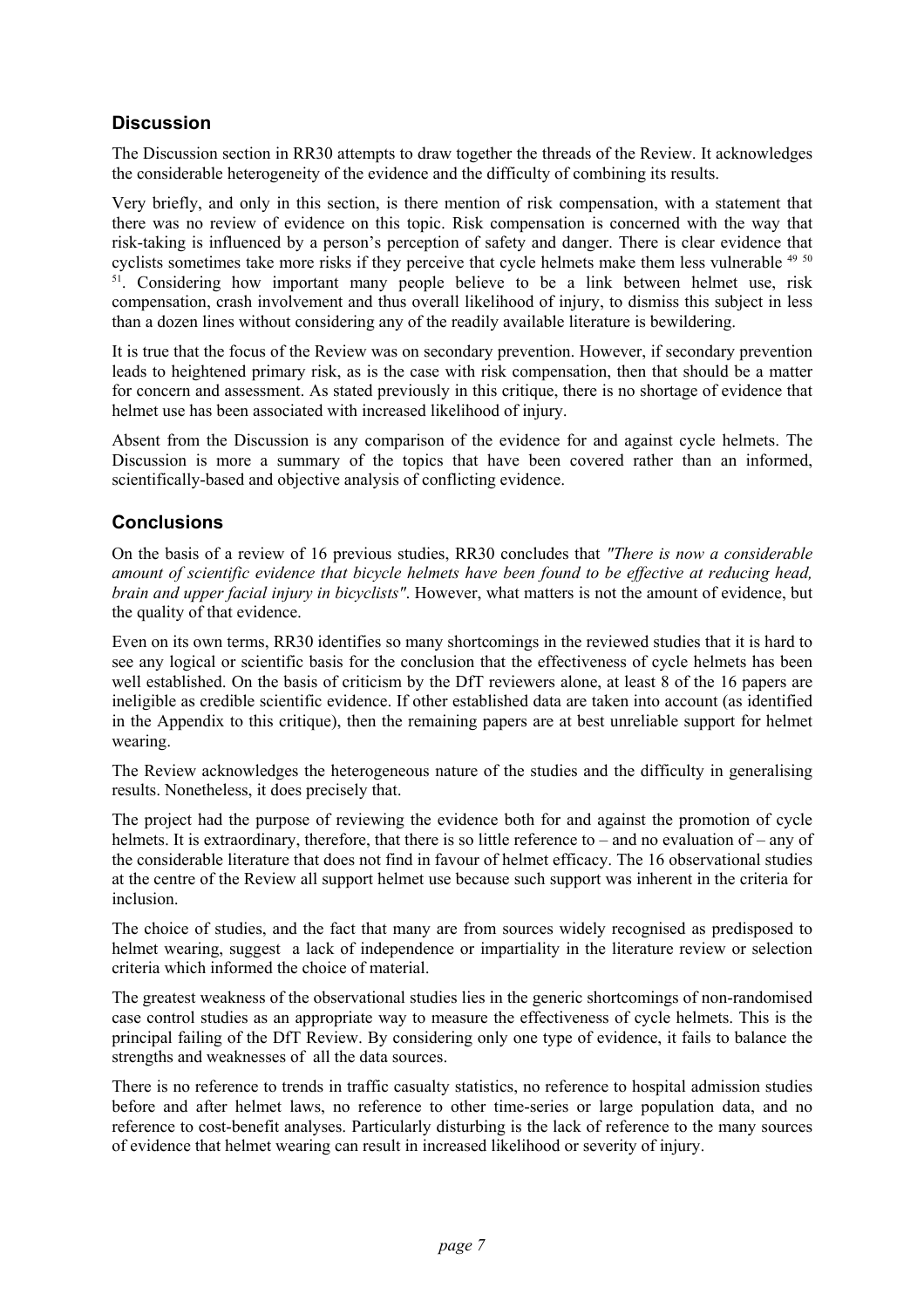# **Discussion**

The Discussion section in RR30 attempts to draw together the threads of the Review. It acknowledges the considerable heterogeneity of the evidence and the difficulty of combining its results.

Very briefly, and only in this section, is there mention of risk compensation, with a statement that there was no review of evidence on this topic. Risk compensation is concerned with the way that risk-taking is influenced by a person's perception of safety and danger. There is clear evidence that cyclists sometimes take more risks if they perceive that cycle helmets make them less vulnerable <sup>49 50</sup>  $51.$  Considering how important many people believe to be a link between helmet use, risk compensation, crash involvement and thus overall likelihood of injury, to dismiss this subject in less than a dozen lines without considering any of the readily available literature is bewildering.

It is true that the focus of the Review was on secondary prevention. However, if secondary prevention leads to heightened primary risk, as is the case with risk compensation, then that should be a matter for concern and assessment. As stated previously in this critique, there is no shortage of evidence that helmet use has been associated with increased likelihood of injury.

Absent from the Discussion is any comparison of the evidence for and against cycle helmets. The Discussion is more a summary of the topics that have been covered rather than an informed, scientifically-based and objective analysis of conflicting evidence.

# **Conclusions**

On the basis of a review of 16 previous studies, RR30 concludes that *"There is now a considerable amount of scientific evidence that bicycle helmets have been found to be effective at reducing head, brain and upper facial injury in bicyclists"*. However, what matters is not the amount of evidence, but the quality of that evidence.

Even on its own terms, RR30 identifies so many shortcomings in the reviewed studies that it is hard to see any logical or scientific basis for the conclusion that the effectiveness of cycle helmets has been well established. On the basis of criticism by the DfT reviewers alone, at least 8 of the 16 papers are ineligible as credible scientific evidence. If other established data are taken into account (as identified in the Appendix to this critique), then the remaining papers are at best unreliable support for helmet wearing.

The Review acknowledges the heterogeneous nature of the studies and the difficulty in generalising results. Nonetheless, it does precisely that.

The project had the purpose of reviewing the evidence both for and against the promotion of cycle helmets. It is extraordinary, therefore, that there is so little reference to – and no evaluation of – any of the considerable literature that does not find in favour of helmet efficacy. The 16 observational studies at the centre of the Review all support helmet use because such support was inherent in the criteria for inclusion.

The choice of studies, and the fact that many are from sources widely recognised as predisposed to helmet wearing, suggest a lack of independence or impartiality in the literature review or selection criteria which informed the choice of material.

The greatest weakness of the observational studies lies in the generic shortcomings of non-randomised case control studies as an appropriate way to measure the effectiveness of cycle helmets. This is the principal failing of the DfT Review. By considering only one type of evidence, it fails to balance the strengths and weaknesses of all the data sources.

There is no reference to trends in traffic casualty statistics, no reference to hospital admission studies before and after helmet laws, no reference to other time-series or large population data, and no reference to cost-benefit analyses. Particularly disturbing is the lack of reference to the many sources of evidence that helmet wearing can result in increased likelihood or severity of injury.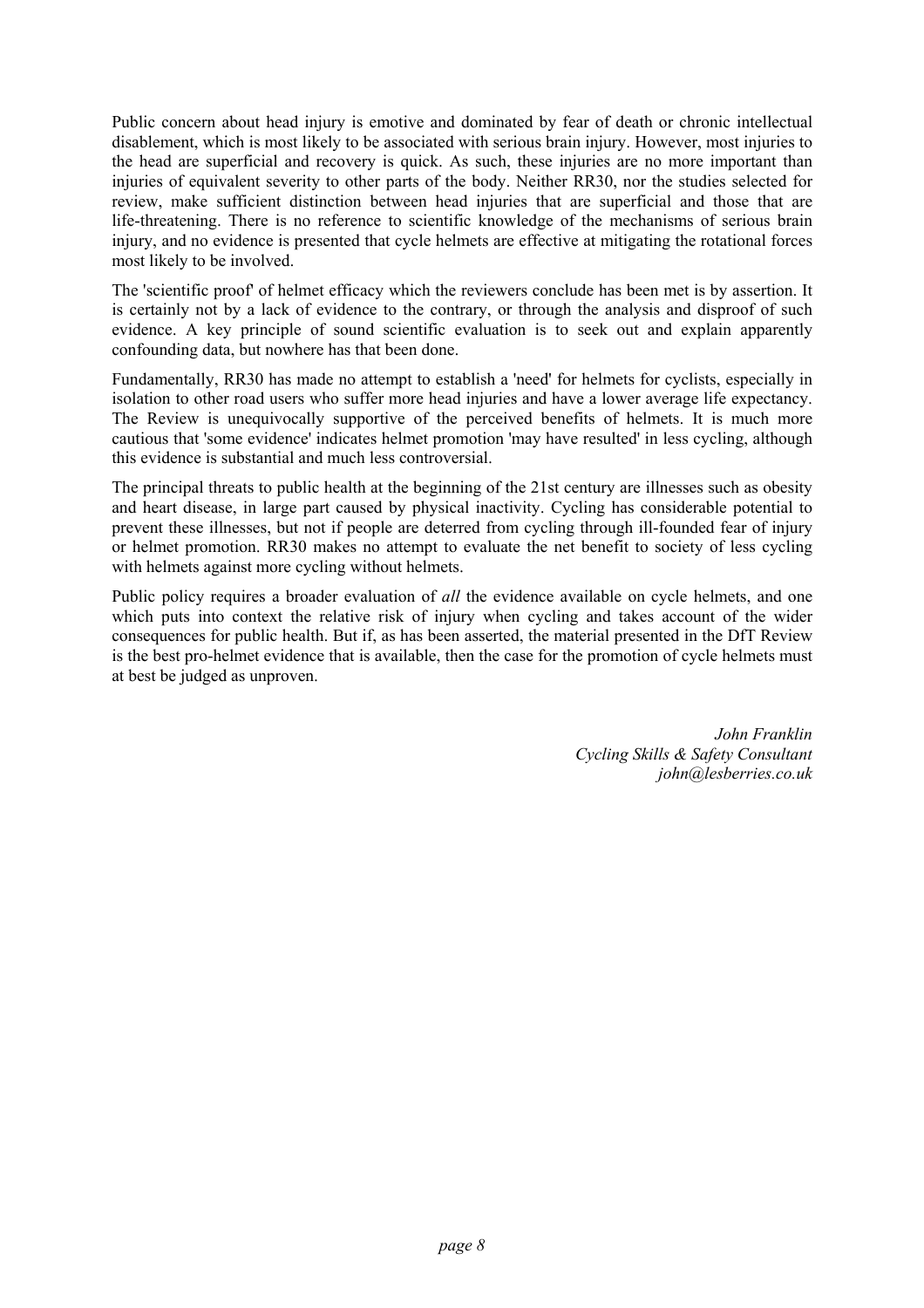Public concern about head injury is emotive and dominated by fear of death or chronic intellectual disablement, which is most likely to be associated with serious brain injury. However, most injuries to the head are superficial and recovery is quick. As such, these injuries are no more important than injuries of equivalent severity to other parts of the body. Neither RR30, nor the studies selected for review, make sufficient distinction between head injuries that are superficial and those that are life-threatening. There is no reference to scientific knowledge of the mechanisms of serious brain injury, and no evidence is presented that cycle helmets are effective at mitigating the rotational forces most likely to be involved.

The 'scientific proof' of helmet efficacy which the reviewers conclude has been met is by assertion. It is certainly not by a lack of evidence to the contrary, or through the analysis and disproof of such evidence. A key principle of sound scientific evaluation is to seek out and explain apparently confounding data, but nowhere has that been done.

Fundamentally, RR30 has made no attempt to establish a 'need' for helmets for cyclists, especially in isolation to other road users who suffer more head injuries and have a lower average life expectancy. The Review is unequivocally supportive of the perceived benefits of helmets. It is much more cautious that 'some evidence' indicates helmet promotion 'may have resulted' in less cycling, although this evidence is substantial and much less controversial.

The principal threats to public health at the beginning of the 21st century are illnesses such as obesity and heart disease, in large part caused by physical inactivity. Cycling has considerable potential to prevent these illnesses, but not if people are deterred from cycling through ill-founded fear of injury or helmet promotion. RR30 makes no attempt to evaluate the net benefit to society of less cycling with helmets against more cycling without helmets.

Public policy requires a broader evaluation of *all* the evidence available on cycle helmets, and one which puts into context the relative risk of injury when cycling and takes account of the wider consequences for public health. But if, as has been asserted, the material presented in the DfT Review is the best pro-helmet evidence that is available, then the case for the promotion of cycle helmets must at best be judged as unproven.

> *John Franklin Cycling Skills & Safety Consultant john@lesberries.co.uk*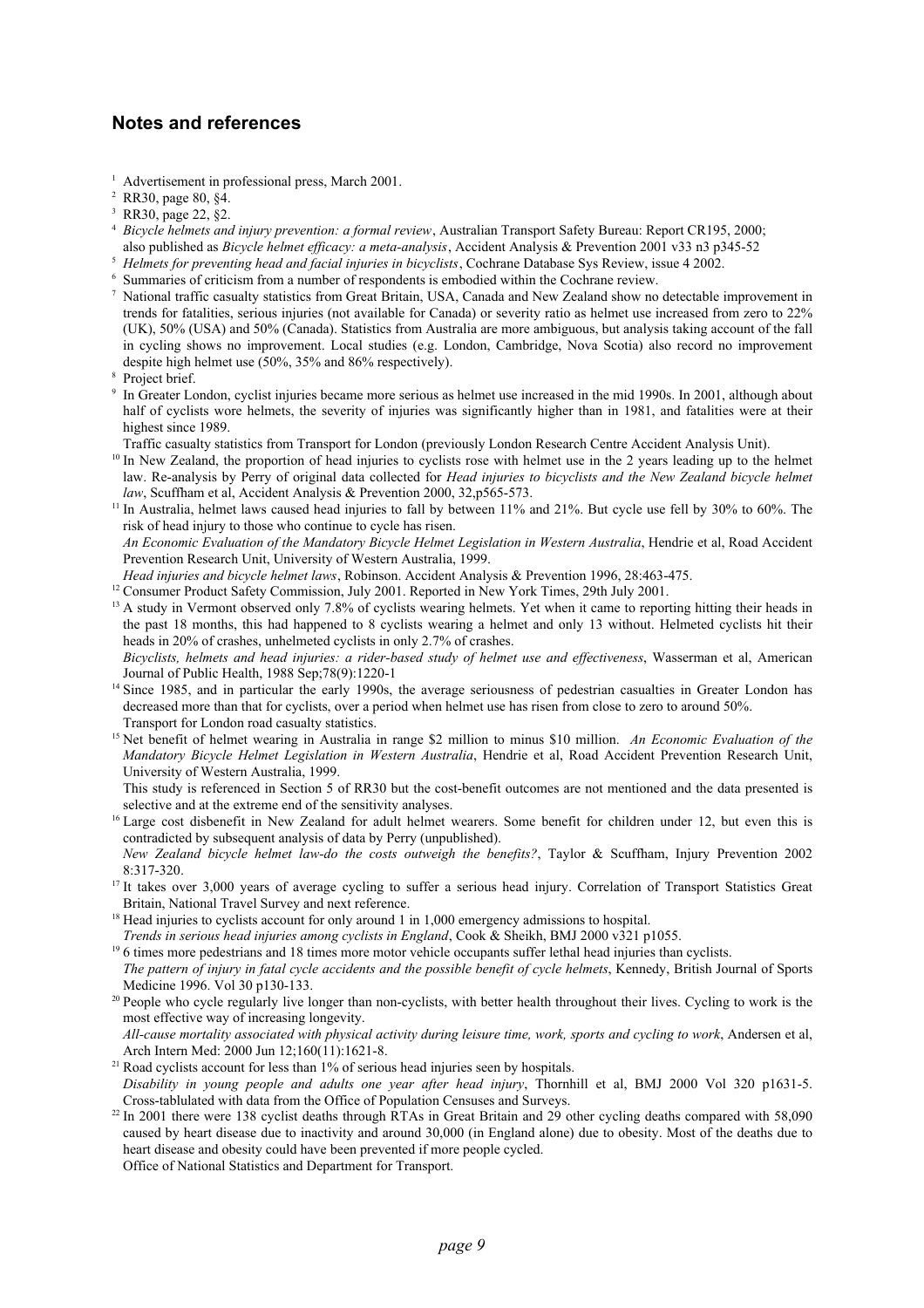## **Notes and references**

- <sup>1</sup> Advertisement in professional press, March 2001.
- <sup>2</sup> RR30, page 80, §4.
- <sup>3</sup> RR30, page 22, §2.
- <sup>4</sup> *Bicycle helmets and injury prevention: a formal review*, Australian Transport Safety Bureau: Report CR195, 2000;
- also published as *Bicycle helmet efficacy: a meta-analysis*, Accident Analysis & Prevention 2001 v33 n3 p345-52
- <sup>5</sup> *Helmets for preventing head and facial injuries in bicyclists*, Cochrane Database Sys Review, issue 4 2002.
- Summaries of criticism from a number of respondents is embodied within the Cochrane review.
- <sup>7</sup> National traffic casualty statistics from Great Britain, USA, Canada and New Zealand show no detectable improvement in trends for fatalities, serious injuries (not available for Canada) or severity ratio as helmet use increased from zero to 22% (UK), 50% (USA) and 50% (Canada). Statistics from Australia are more ambiguous, but analysis taking account of the fall in cycling shows no improvement. Local studies (e.g. London, Cambridge, Nova Scotia) also record no improvement despite high helmet use (50%, 35% and 86% respectively).
- Project brief.
- <sup>9</sup> In Greater London, cyclist injuries became more serious as helmet use increased in the mid 1990s. In 2001, although about half of cyclists wore helmets, the severity of injuries was significantly higher than in 1981, and fatalities were at their highest since 1989.
- Traffic casualty statistics from Transport for London (previously London Research Centre Accident Analysis Unit).
- <sup>10</sup> In New Zealand, the proportion of head injuries to cyclists rose with helmet use in the 2 years leading up to the helmet law. Re-analysis by Perry of original data collected for *Head injuries to bicyclists and the New Zealand bicycle helmet law*, Scuffham et al, Accident Analysis & Prevention 2000, 32,p565-573.
- <sup>11</sup> In Australia, helmet laws caused head injuries to fall by between 11% and 21%. But cycle use fell by 30% to 60%. The risk of head injury to those who continue to cycle has risen.
- *An Economic Evaluation of the Mandatory Bicycle Helmet Legislation in Western Australia*, Hendrie et al, Road Accident Prevention Research Unit, University of Western Australia, 1999.
- *Head injuries and bicycle helmet laws*, Robinson. Accident Analysis & Prevention 1996, 28:463-475.
- <sup>12</sup> Consumer Product Safety Commission, July 2001. Reported in New York Times, 29th July 2001.
- <sup>13</sup> A study in Vermont observed only 7.8% of cyclists wearing helmets. Yet when it came to reporting hitting their heads in the past 18 months, this had happened to 8 cyclists wearing a helmet and only 13 without. Helmeted cyclists hit their heads in 20% of crashes, unhelmeted cyclists in only 2.7% of crashes.

*Bicyclists, helmets and head injuries: a rider-based study of helmet use and effectiveness*, Wasserman et al, American Journal of Public Health, 1988 Sep;78(9):1220-1

- <sup>14</sup> Since 1985, and in particular the early 1990s, the average seriousness of pedestrian casualties in Greater London has decreased more than that for cyclists, over a period when helmet use has risen from close to zero to around 50%. Transport for London road casualty statistics.
- <sup>15</sup> Net benefit of helmet wearing in Australia in range \$2 million to minus \$10 million. *An Economic Evaluation of the Mandatory Bicycle Helmet Legislation in Western Australia*, Hendrie et al, Road Accident Prevention Research Unit, University of Western Australia, 1999.
- This study is referenced in Section 5 of RR30 but the cost-benefit outcomes are not mentioned and the data presented is selective and at the extreme end of the sensitivity analyses.
- <sup>16</sup> Large cost disbenefit in New Zealand for adult helmet wearers. Some benefit for children under 12, but even this is contradicted by subsequent analysis of data by Perry (unpublished).
- *New Zealand bicycle helmet law-do the costs outweigh the benefits?*, Taylor & Scuffham, Injury Prevention 2002 8:317-320.
- <sup>17</sup> It takes over 3,000 years of average cycling to suffer a serious head injury. Correlation of Transport Statistics Great Britain, National Travel Survey and next reference.
- <sup>18</sup> Head injuries to cyclists account for only around 1 in 1,000 emergency admissions to hospital.
- *Trends in serious head injuries among cyclists in England*, Cook & Sheikh, BMJ 2000 v321 p1055.
- <sup>19</sup> 6 times more pedestrians and 18 times more motor vehicle occupants suffer lethal head injuries than cyclists. *The pattern of injury in fatal cycle accidents and the possible benefit of cycle helmets*, Kennedy, British Journal of Sports Medicine 1996. Vol 30 p130-133.
- <sup>20</sup> People who cycle regularly live longer than non-cyclists, with better health throughout their lives. Cycling to work is the most effective way of increasing longevity.
- *All-cause mortality associated with physical activity during leisure time, work, sports and cycling to work*, Andersen et al, Arch Intern Med: 2000 Jun 12;160(11):1621-8.
- <sup>21</sup> Road cyclists account for less than 1% of serious head injuries seen by hospitals. *Disability in young people and adults one year after head injury*, Thornhill et al, BMJ 2000 Vol 320 p1631-5. Cross-tablulated with data from the Office of Population Censuses and Surveys.
- <sup>22</sup> In 2001 there were 138 cyclist deaths through RTAs in Great Britain and 29 other cycling deaths compared with 58,090 caused by heart disease due to inactivity and around 30,000 (in England alone) due to obesity. Most of the deaths due to heart disease and obesity could have been prevented if more people cycled. Office of National Statistics and Department for Transport.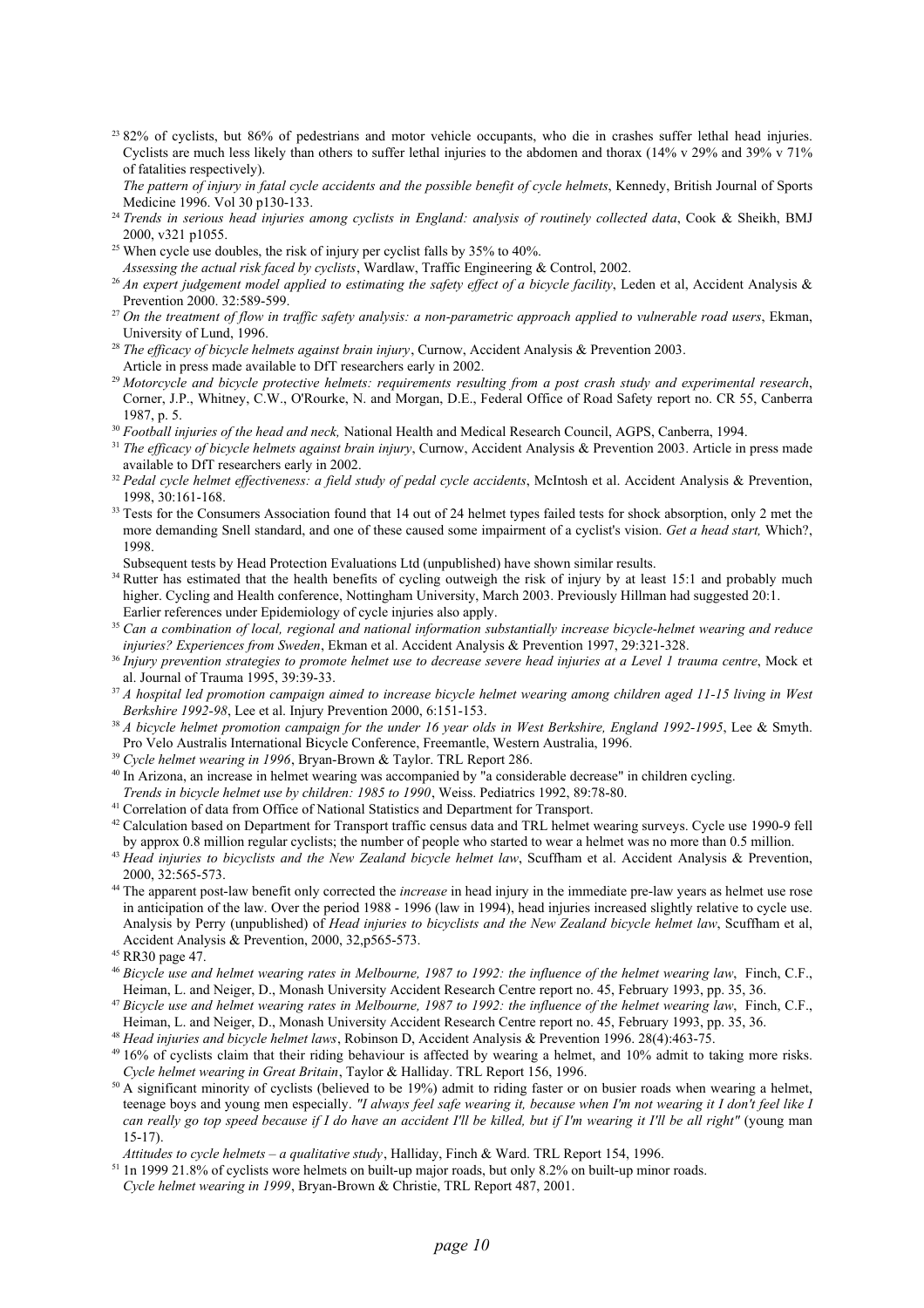- <sup>23</sup> 82% of cyclists, but 86% of pedestrians and motor vehicle occupants, who die in crashes suffer lethal head injuries. Cyclists are much less likely than others to suffer lethal injuries to the abdomen and thorax (14% v 29% and 39% v 71% of fatalities respectively).
- *The pattern of injury in fatal cycle accidents and the possible benefit of cycle helmets*, Kennedy, British Journal of Sports Medicine 1996. Vol 30 p130-133.
- <sup>24</sup> Trends in serious head injuries among cyclists in England: analysis of routinely collected data, Cook & Sheikh, BMJ 2000, v321 p1055.
- <sup>25</sup> When cycle use doubles, the risk of injury per cyclist falls by  $35\%$  to  $40\%$ .
- *Assessing the actual risk faced by cyclists*, Wardlaw, Traffic Engineering & Control, 2002.
- <sup>26</sup> An expert judgement model applied to estimating the safety effect of a bicycle facility, Leden et al, Accident Analysis & Prevention 2000. 32:589-599.
- <sup>27</sup> *On the treatment of flow in traffic safety analysis: a non-parametric approach applied to vulnerable road users*, Ekman, University of Lund, 1996.
- <sup>28</sup> *The efficacy of bicycle helmets against brain injury*, Curnow, Accident Analysis & Prevention 2003. Article in press made available to DfT researchers early in 2002.
- <sup>29</sup> *Motorcycle and bicycle protective helmets: requirements resulting from a post crash study and experimental research*, Corner, J.P., Whitney, C.W., O'Rourke, N. and Morgan, D.E., Federal Office of Road Safety report no. CR 55, Canberra 1987, p. 5.
- <sup>30</sup> Football injuries of the head and neck, National Health and Medical Research Council, AGPS, Canberra, 1994.
- <sup>31</sup> The efficacy of bicycle helmets against brain injury, Curnow, Accident Analysis & Prevention 2003. Article in press made available to DfT researchers early in 2002.
- <sup>32</sup> Pedal cycle helmet effectiveness: a field study of pedal cycle accidents, McIntosh et al. Accident Analysis & Prevention, 1998, 30:161-168.
- <sup>33</sup> Tests for the Consumers Association found that 14 out of 24 helmet types failed tests for shock absorption, only 2 met the more demanding Snell standard, and one of these caused some impairment of a cyclist's vision. *Get a head start,* Which?, 1998.
- Subsequent tests by Head Protection Evaluations Ltd (unpublished) have shown similar results.
- <sup>34</sup> Rutter has estimated that the health benefits of cycling outweigh the risk of injury by at least 15:1 and probably much higher. Cycling and Health conference, Nottingham University, March 2003. Previously Hillman had suggested 20:1. Earlier references under Epidemiology of cycle injuries also apply.
- <sup>35</sup> *Can a combination of local, regional and national information substantially increase bicycle-helmet wearing and reduce injuries? Experiences from Sweden*, Ekman et al. Accident Analysis & Prevention 1997, 29:321-328.
- <sup>36</sup> Injury prevention strategies to promote helmet use to decrease severe head injuries at a Level 1 trauma centre, Mock et al. Journal of Trauma 1995, 39:39-33.
- <sup>37</sup> *A hospital led promotion campaign aimed to increase bicycle helmet wearing among children aged 11-15 living in West Berkshire 1992-98*, Lee et al. Injury Prevention 2000, 6:151-153.
- <sup>38</sup> *A bicycle helmet promotion campaign for the under 16 year olds in West Berkshire, England 1992-1995*, Lee & Smyth. Pro Velo Australis International Bicycle Conference, Freemantle, Western Australia, 1996.
- <sup>39</sup> *Cycle helmet wearing in 1996*, Bryan-Brown & Taylor. TRL Report 286.
- <sup>40</sup> In Arizona, an increase in helmet wearing was accompanied by "a considerable decrease" in children cycling.
- *Trends in bicycle helmet use by children: 1985 to 1990*, Weiss. Pediatrics 1992, 89:78-80.
- <sup>41</sup> Correlation of data from Office of National Statistics and Department for Transport.
- <sup>42</sup> Calculation based on Department for Transport traffic census data and TRL helmet wearing surveys. Cycle use 1990-9 fell by approx 0.8 million regular cyclists; the number of people who started to wear a helmet was no more than 0.5 million.
- <sup>43</sup> Head injuries to bicyclists and the New Zealand bicycle helmet law, Scuffham et al. Accident Analysis & Prevention, 2000, 32:565-573.
- <sup>44</sup> The apparent post-law benefit only corrected the *increase* in head injury in the immediate pre-law years as helmet use rose in anticipation of the law. Over the period 1988 - 1996 (law in 1994), head injuries increased slightly relative to cycle use. Analysis by Perry (unpublished) of *Head injuries to bicyclists and the New Zealand bicycle helmet law*, Scuffham et al, Accident Analysis & Prevention, 2000, 32,p565-573.
- <sup>45</sup> RR30 page 47.
- <sup>46</sup> *Bicycle use and helmet wearing rates in Melbourne, 1987 to 1992: the influence of the helmet wearing law*, Finch, C.F., Heiman, L. and Neiger, D., Monash University Accident Research Centre report no. 45, February 1993, pp. 35, 36.
- <sup>47</sup> *Bicycle use and helmet wearing rates in Melbourne, 1987 to 1992: the influence of the helmet wearing law*, Finch, C.F., Heiman, L. and Neiger, D., Monash University Accident Research Centre report no. 45, February 1993, pp. 35, 36.
- <sup>48</sup> *Head injuries and bicycle helmet laws*, Robinson D, Accident Analysis & Prevention 1996. 28(4):463-75.
- $49$  16% of cyclists claim that their riding behaviour is affected by wearing a helmet, and 10% admit to taking more risks. *Cycle helmet wearing in Great Britain*, Taylor & Halliday. TRL Report 156, 1996.
- $50$  A significant minority of cyclists (believed to be 19%) admit to riding faster or on busier roads when wearing a helmet, teenage boys and young men especially. *"I always feel safe wearing it, because when I'm not wearing it I don't feel like I can really go top speed because if I do have an accident I'll be killed, but if I'm wearing it I'll be all right"* (young man 15-17).
- *Attitudes to cycle helmets a qualitative study*, Halliday, Finch & Ward. TRL Report 154, 1996.
- <sup>51</sup> 1n 1999 21.8% of cyclists wore helmets on built-up major roads, but only 8.2% on built-up minor roads. *Cycle helmet wearing in 1999*, Bryan-Brown & Christie, TRL Report 487, 2001.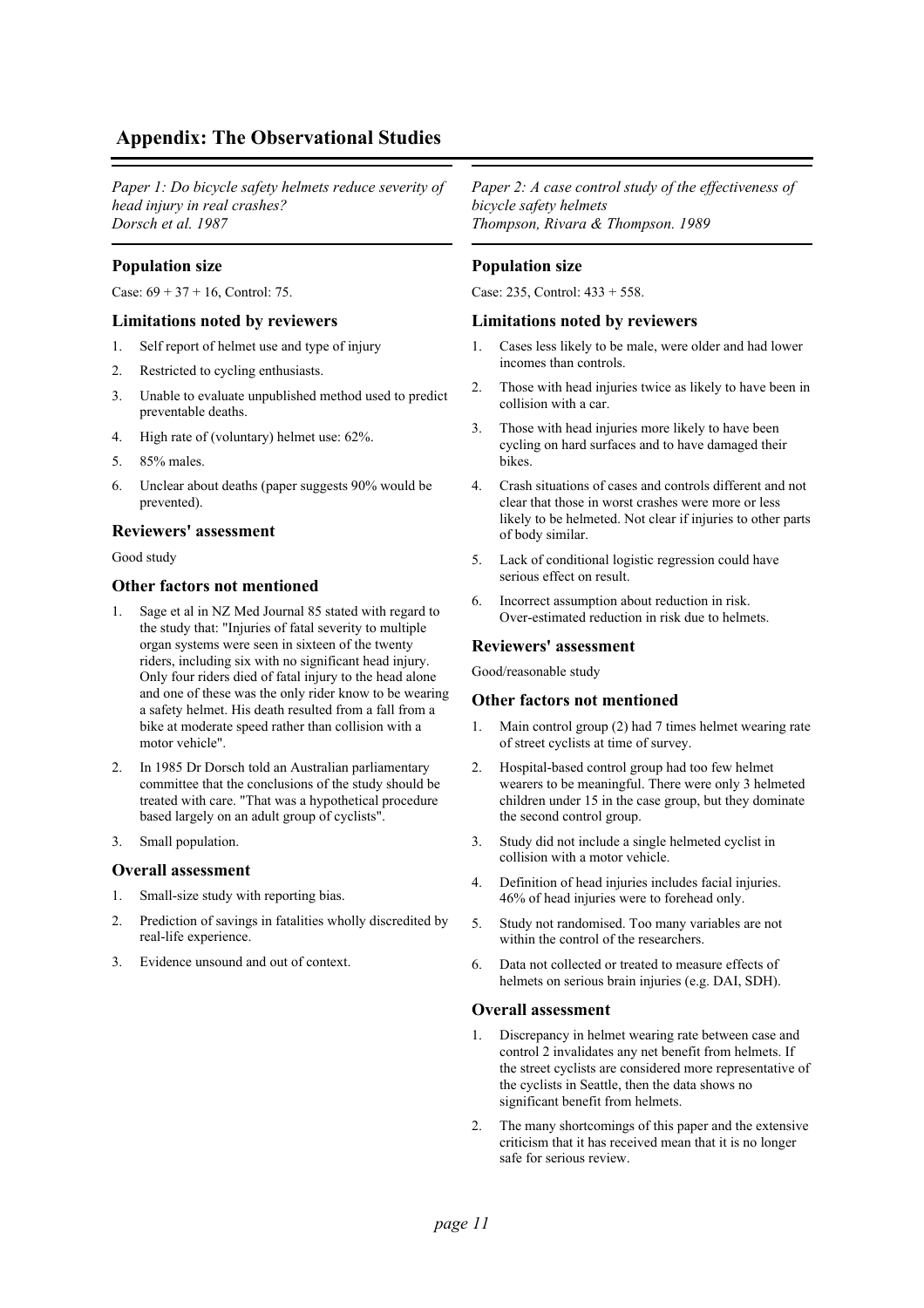# **Appendix: The Observational Studies**

*Paper 1: Do bicycle safety helmets reduce severity of head injury in real crashes? Dorsch et al. 1987*

## **Population size**

Case:  $69 + 37 + 16$ , Control: 75.

#### **Limitations noted by reviewers**

- 1. Self report of helmet use and type of injury
- 2. Restricted to cycling enthusiasts.
- 3. Unable to evaluate unpublished method used to predict preventable deaths.
- 4. High rate of (voluntary) helmet use: 62%.
- 5. 85% males.
- 6. Unclear about deaths (paper suggests 90% would be prevented).

#### **Reviewers' assessment**

Good study

## **Other factors not mentioned**

- 1. Sage et al in NZ Med Journal 85 stated with regard to the study that: "Injuries of fatal severity to multiple organ systems were seen in sixteen of the twenty riders, including six with no significant head injury. Only four riders died of fatal injury to the head alone and one of these was the only rider know to be wearing a safety helmet. His death resulted from a fall from a bike at moderate speed rather than collision with a motor vehicle".
- 2. In 1985 Dr Dorsch told an Australian parliamentary committee that the conclusions of the study should be treated with care. "That was a hypothetical procedure based largely on an adult group of cyclists".
- 3. Small population.

#### **Overall assessment**

- 1. Small-size study with reporting bias.
- 2. Prediction of savings in fatalities wholly discredited by real-life experience.
- 3. Evidence unsound and out of context.

*Paper 2: A case control study of the effectiveness of bicycle safety helmets Thompson, Rivara & Thompson. 1989*

## **Population size**

Case: 235, Control: 433 + 558.

#### **Limitations noted by reviewers**

- 1. Cases less likely to be male, were older and had lower incomes than controls.
- 2. Those with head injuries twice as likely to have been in collision with a car.
- 3. Those with head injuries more likely to have been cycling on hard surfaces and to have damaged their bikes.
- 4. Crash situations of cases and controls different and not clear that those in worst crashes were more or less likely to be helmeted. Not clear if injuries to other parts of body similar.
- 5. Lack of conditional logistic regression could have serious effect on result.
- 6. Incorrect assumption about reduction in risk. Over-estimated reduction in risk due to helmets.

### **Reviewers' assessment**

Good/reasonable study

#### **Other factors not mentioned**

- 1. Main control group (2) had 7 times helmet wearing rate of street cyclists at time of survey.
- 2. Hospital-based control group had too few helmet wearers to be meaningful. There were only 3 helmeted children under 15 in the case group, but they dominate the second control group.
- 3. Study did not include a single helmeted cyclist in collision with a motor vehicle.
- 4. Definition of head injuries includes facial injuries. 46% of head injuries were to forehead only.
- 5. Study not randomised. Too many variables are not within the control of the researchers.
- 6. Data not collected or treated to measure effects of helmets on serious brain injuries (e.g. DAI, SDH).

- 1. Discrepancy in helmet wearing rate between case and control 2 invalidates any net benefit from helmets. If the street cyclists are considered more representative of the cyclists in Seattle, then the data shows no significant benefit from helmets.
- 2. The many shortcomings of this paper and the extensive criticism that it has received mean that it is no longer safe for serious review.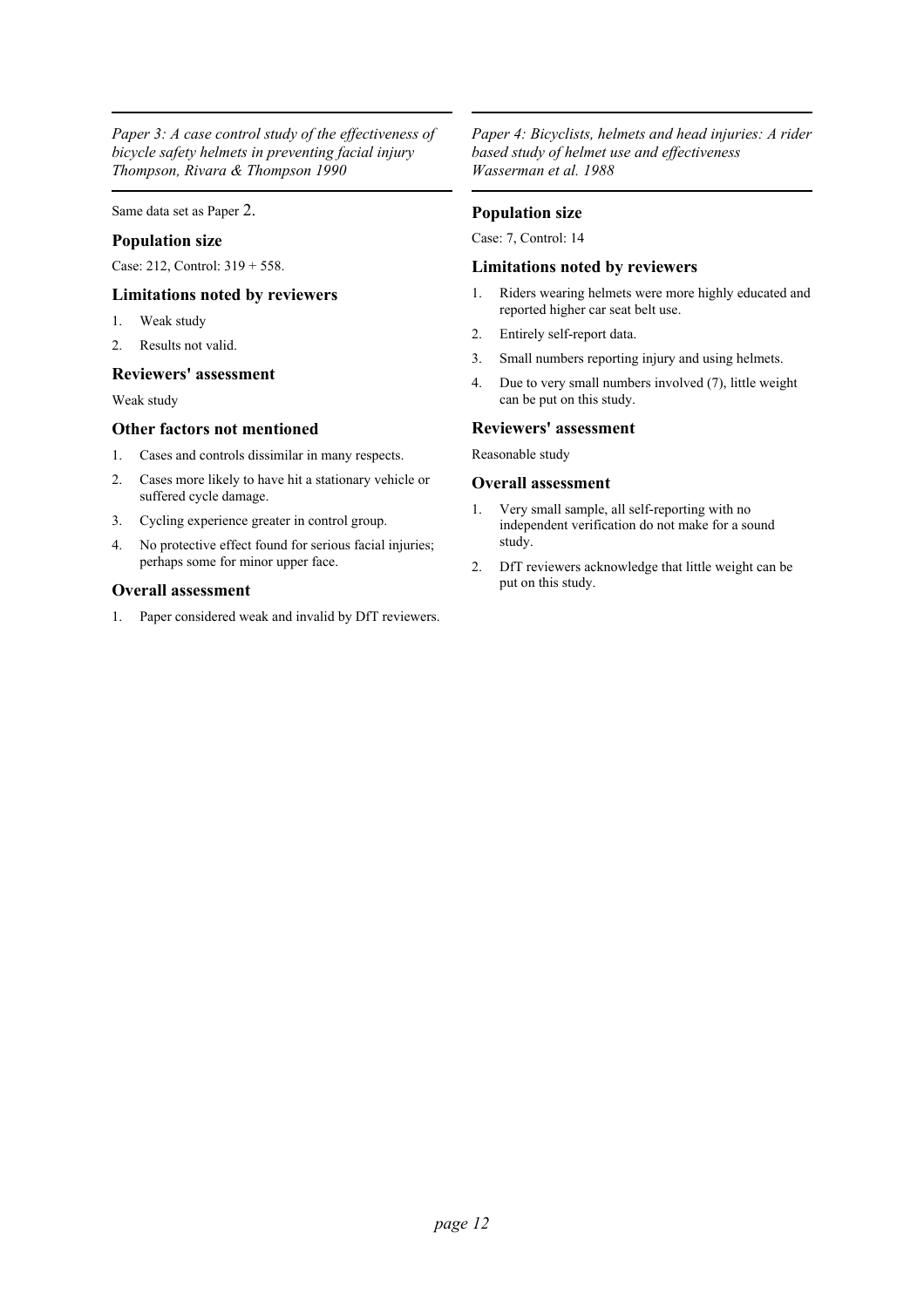*Paper 3: A case control study of the effectiveness of bicycle safety helmets in preventing facial injury Thompson, Rivara & Thompson 1990*

Same data set as Paper 2.

## **Population size**

Case: 212, Control: 319 + 558.

## **Limitations noted by reviewers**

- 1. Weak study
- 2. Results not valid.

## **Reviewers' assessment**

Weak study

## **Other factors not mentioned**

- 1. Cases and controls dissimilar in many respects.
- 2. Cases more likely to have hit a stationary vehicle or suffered cycle damage.
- 3. Cycling experience greater in control group.
- 4. No protective effect found for serious facial injuries; perhaps some for minor upper face.

## **Overall assessment**

1. Paper considered weak and invalid by DfT reviewers.

*Paper 4: Bicyclists, helmets and head injuries: A rider based study of helmet use and effectiveness Wasserman et al. 1988*

## **Population size**

Case: 7, Control: 14

## **Limitations noted by reviewers**

- 1. Riders wearing helmets were more highly educated and reported higher car seat belt use.
- 2. Entirely self-report data.
- 3. Small numbers reporting injury and using helmets.
- 4. Due to very small numbers involved (7), little weight can be put on this study.

## **Reviewers' assessment**

Reasonable study

- 1. Very small sample, all self-reporting with no independent verification do not make for a sound study.
- 2. DfT reviewers acknowledge that little weight can be put on this study.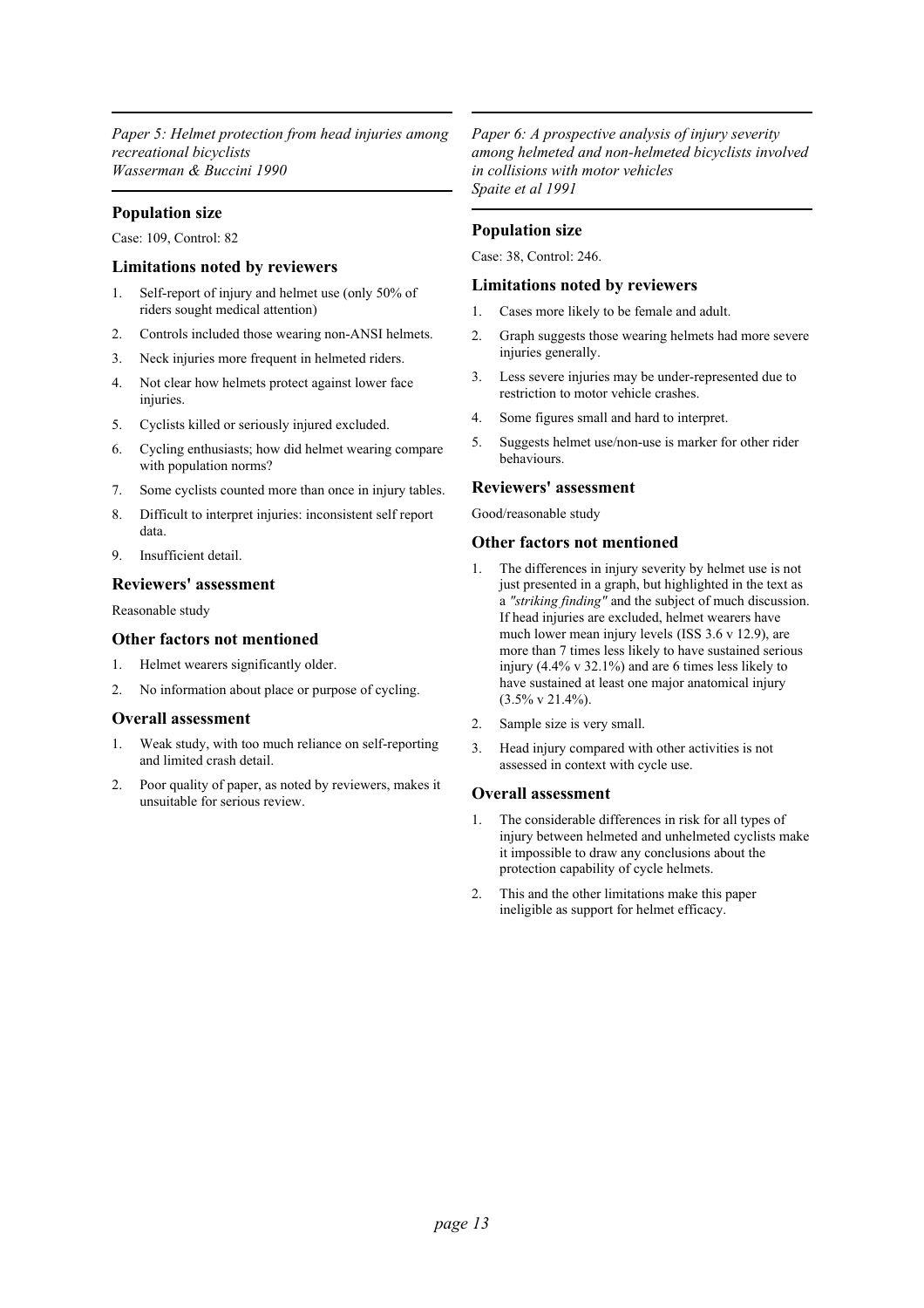*Paper 5: Helmet protection from head injuries among recreational bicyclists Wasserman & Buccini 1990*

## **Population size**

Case: 109, Control: 82

### **Limitations noted by reviewers**

- 1. Self-report of injury and helmet use (only 50% of riders sought medical attention)
- 2. Controls included those wearing non-ANSI helmets.
- 3. Neck injuries more frequent in helmeted riders.
- 4. Not clear how helmets protect against lower face injuries.
- 5. Cyclists killed or seriously injured excluded.
- 6. Cycling enthusiasts; how did helmet wearing compare with population norms?
- 7. Some cyclists counted more than once in injury tables.
- 8. Difficult to interpret injuries: inconsistent self report data.
- 9. Insufficient detail.

## **Reviewers' assessment**

Reasonable study

## **Other factors not mentioned**

- 1. Helmet wearers significantly older.
- 2. No information about place or purpose of cycling.

#### **Overall assessment**

- 1. Weak study, with too much reliance on self-reporting and limited crash detail.
- 2. Poor quality of paper, as noted by reviewers, makes it unsuitable for serious review.

*Paper 6: A prospective analysis of injury severity among helmeted and non-helmeted bicyclists involved in collisions with motor vehicles Spaite et al 1991*

## **Population size**

Case: 38, Control: 246.

#### **Limitations noted by reviewers**

- 1. Cases more likely to be female and adult.
- 2. Graph suggests those wearing helmets had more severe injuries generally.
- 3. Less severe injuries may be under-represented due to restriction to motor vehicle crashes.
- 4. Some figures small and hard to interpret.
- 5. Suggests helmet use/non-use is marker for other rider behaviours.

#### **Reviewers' assessment**

Good/reasonable study

## **Other factors not mentioned**

- 1. The differences in injury severity by helmet use is not just presented in a graph, but highlighted in the text as a *"striking finding"* and the subject of much discussion. If head injuries are excluded, helmet wearers have much lower mean injury levels (ISS 3.6 v 12.9), are more than 7 times less likely to have sustained serious injury (4.4% v 32.1%) and are 6 times less likely to have sustained at least one major anatomical injury (3.5% v 21.4%).
- 2. Sample size is very small.
- 3. Head injury compared with other activities is not assessed in context with cycle use.

- 1. The considerable differences in risk for all types of injury between helmeted and unhelmeted cyclists make it impossible to draw any conclusions about the protection capability of cycle helmets.
- 2. This and the other limitations make this paper ineligible as support for helmet efficacy.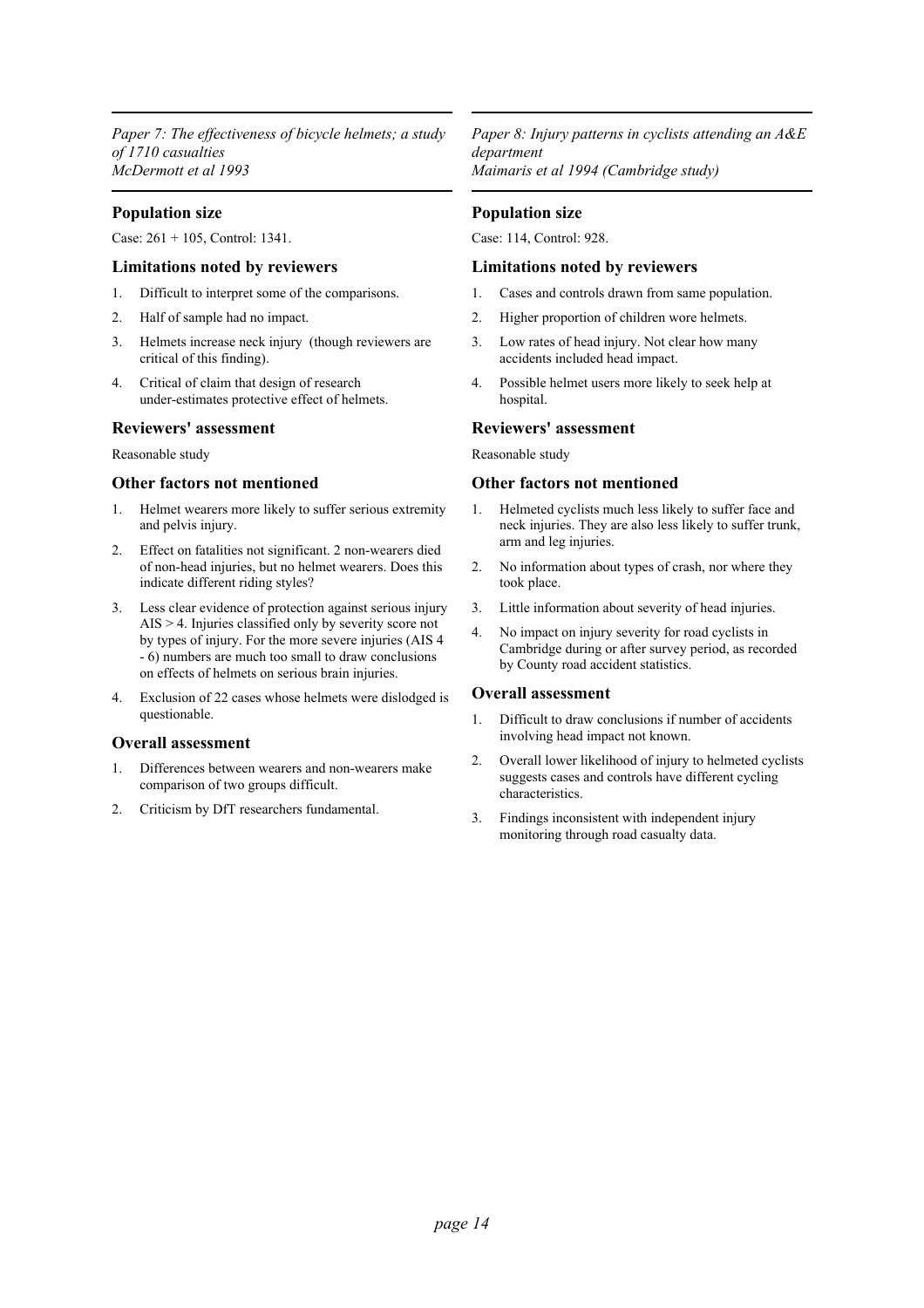*Paper 7: The effectiveness of bicycle helmets; a study of 1710 casualties McDermott et al 1993*

## **Population size**

Case: 261 + 105, Control: 1341.

## **Limitations noted by reviewers**

- 1. Difficult to interpret some of the comparisons.
- 2. Half of sample had no impact.
- 3. Helmets increase neck injury (though reviewers are critical of this finding).
- 4. Critical of claim that design of research under-estimates protective effect of helmets.

## **Reviewers' assessment**

Reasonable study

#### **Other factors not mentioned**

- 1. Helmet wearers more likely to suffer serious extremity and pelvis injury.
- 2. Effect on fatalities not significant. 2 non-wearers died of non-head injuries, but no helmet wearers. Does this indicate different riding styles?
- 3. Less clear evidence of protection against serious injury AIS > 4. Injuries classified only by severity score not by types of injury. For the more severe injuries (AIS 4 - 6) numbers are much too small to draw conclusions on effects of helmets on serious brain injuries.
- 4. Exclusion of 22 cases whose helmets were dislodged is questionable.

## **Overall assessment**

- 1. Differences between wearers and non-wearers make comparison of two groups difficult.
- 2. Criticism by DfT researchers fundamental.

*Paper 8: Injury patterns in cyclists attending an A&E department Maimaris et al 1994 (Cambridge study)*

## **Population size**

Case: 114, Control: 928.

## **Limitations noted by reviewers**

- 1. Cases and controls drawn from same population.
- 2. Higher proportion of children wore helmets.
- 3. Low rates of head injury. Not clear how many accidents included head impact.
- 4. Possible helmet users more likely to seek help at hospital.

## **Reviewers' assessment**

Reasonable study

#### **Other factors not mentioned**

- 1. Helmeted cyclists much less likely to suffer face and neck injuries. They are also less likely to suffer trunk, arm and leg injuries.
- 2. No information about types of crash, nor where they took place.
- 3. Little information about severity of head injuries.
- 4. No impact on injury severity for road cyclists in Cambridge during or after survey period, as recorded by County road accident statistics.

- 1. Difficult to draw conclusions if number of accidents involving head impact not known.
- 2. Overall lower likelihood of injury to helmeted cyclists suggests cases and controls have different cycling characteristics.
- 3. Findings inconsistent with independent injury monitoring through road casualty data.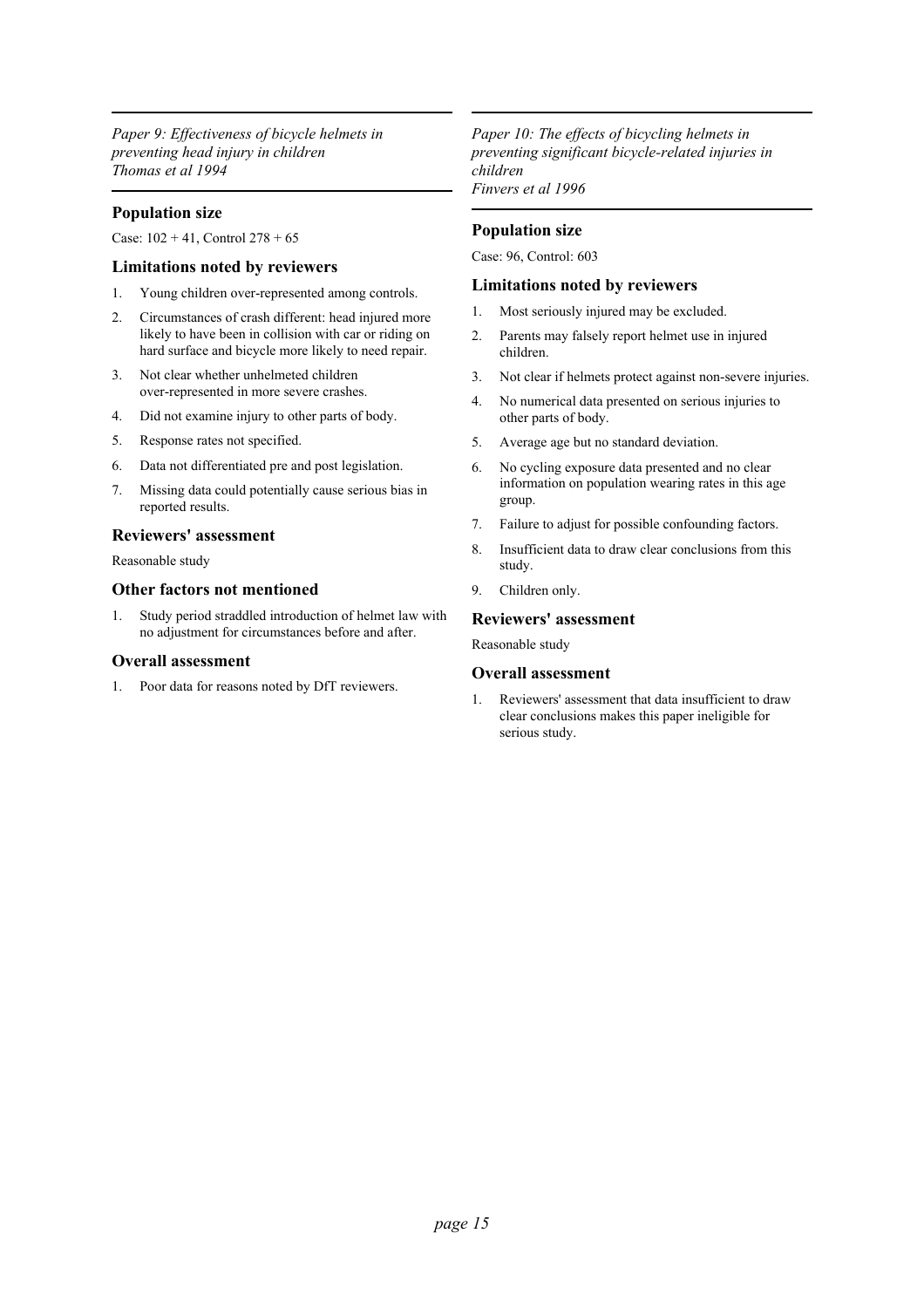*Paper 9: Effectiveness of bicycle helmets in preventing head injury in children Thomas et al 1994*

## **Population size**

Case:  $102 + 41$ , Control  $278 + 65$ 

## **Limitations noted by reviewers**

- 1. Young children over-represented among controls.
- 2. Circumstances of crash different: head injured more likely to have been in collision with car or riding on hard surface and bicycle more likely to need repair.
- 3. Not clear whether unhelmeted children over-represented in more severe crashes.
- 4. Did not examine injury to other parts of body.
- 5. Response rates not specified.
- 6. Data not differentiated pre and post legislation.
- 7. Missing data could potentially cause serious bias in reported results.

### **Reviewers' assessment**

Reasonable study

## **Other factors not mentioned**

1. Study period straddled introduction of helmet law with no adjustment for circumstances before and after.

#### **Overall assessment**

1. Poor data for reasons noted by DfT reviewers.

*Paper 10: The effects of bicycling helmets in preventing significant bicycle-related injuries in children Finvers et al 1996*

## **Population size**

Case: 96, Control: 603

#### **Limitations noted by reviewers**

- 1. Most seriously injured may be excluded.
- 2. Parents may falsely report helmet use in injured children.
- 3. Not clear if helmets protect against non-severe injuries.
- 4. No numerical data presented on serious injuries to other parts of body.
- 5. Average age but no standard deviation.
- 6. No cycling exposure data presented and no clear information on population wearing rates in this age group.
- 7. Failure to adjust for possible confounding factors.
- 8. Insufficient data to draw clear conclusions from this study.
- 9. Children only.

## **Reviewers' assessment**

Reasonable study

#### **Overall assessment**

1. Reviewers' assessment that data insufficient to draw clear conclusions makes this paper ineligible for serious study.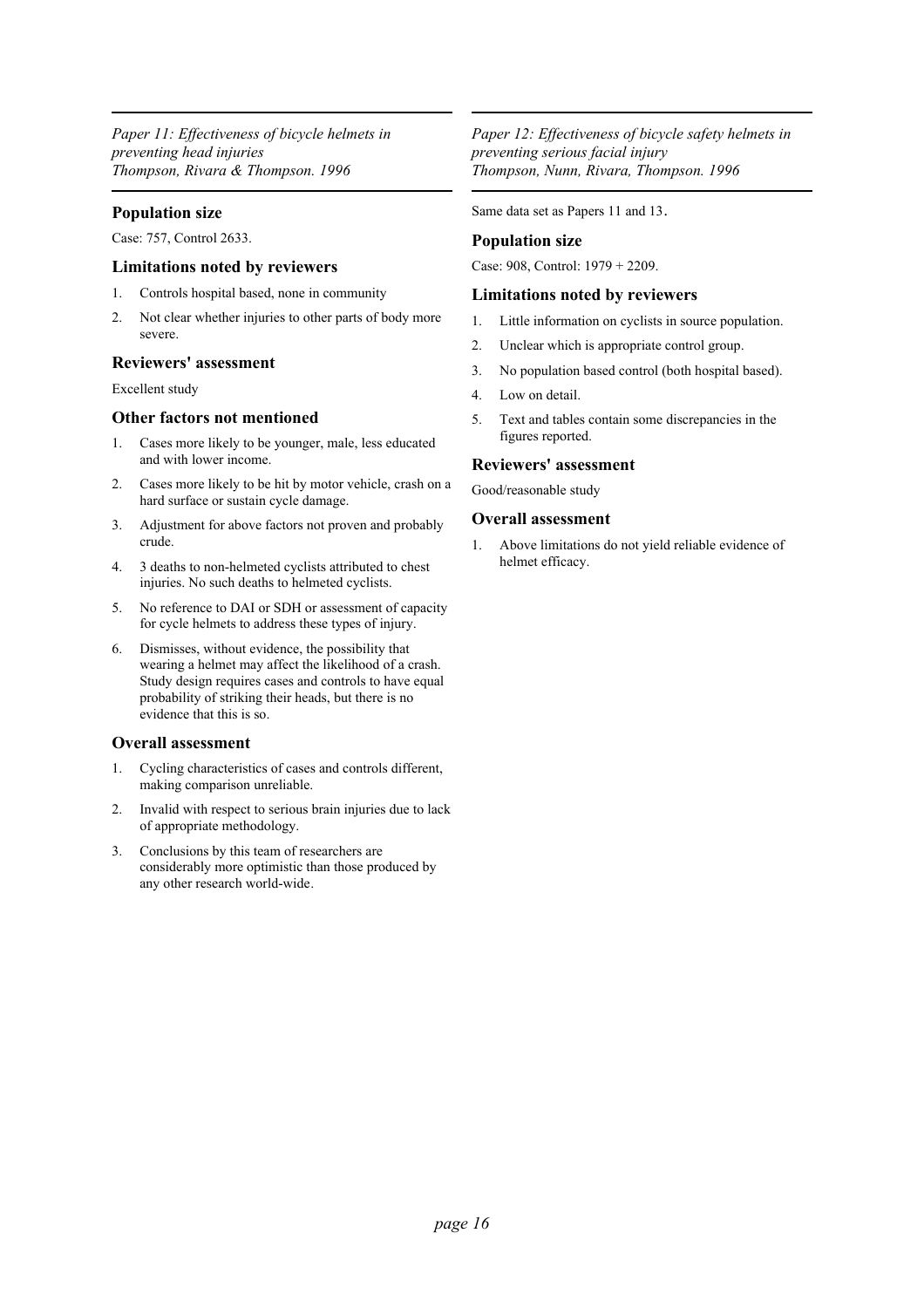*Paper 11: Effectiveness of bicycle helmets in preventing head injuries Thompson, Rivara & Thompson. 1996*

## **Population size**

Case: 757, Control 2633.

## **Limitations noted by reviewers**

- 1. Controls hospital based, none in community
- 2. Not clear whether injuries to other parts of body more severe.

## **Reviewers' assessment**

Excellent study

## **Other factors not mentioned**

- 1. Cases more likely to be younger, male, less educated and with lower income.
- 2. Cases more likely to be hit by motor vehicle, crash on a hard surface or sustain cycle damage.
- 3. Adjustment for above factors not proven and probably crude.
- 4. 3 deaths to non-helmeted cyclists attributed to chest injuries. No such deaths to helmeted cyclists.
- 5. No reference to DAI or SDH or assessment of capacity for cycle helmets to address these types of injury.
- 6. Dismisses, without evidence, the possibility that wearing a helmet may affect the likelihood of a crash. Study design requires cases and controls to have equal probability of striking their heads, but there is no evidence that this is so.

## **Overall assessment**

- 1. Cycling characteristics of cases and controls different, making comparison unreliable.
- 2. Invalid with respect to serious brain injuries due to lack of appropriate methodology.
- 3. Conclusions by this team of researchers are considerably more optimistic than those produced by any other research world-wide.

*Paper 12: Effectiveness of bicycle safety helmets in preventing serious facial injury Thompson, Nunn, Rivara, Thompson. 1996*

Same data set as Papers 11 and 13.

## **Population size**

Case: 908, Control: 1979 + 2209.

## **Limitations noted by reviewers**

- 1. Little information on cyclists in source population.
- 2. Unclear which is appropriate control group.
- 3. No population based control (both hospital based).
- 4. Low on detail.
- 5. Text and tables contain some discrepancies in the figures reported.

## **Reviewers' assessment**

Good/reasonable study

## **Overall assessment**

1. Above limitations do not yield reliable evidence of helmet efficacy.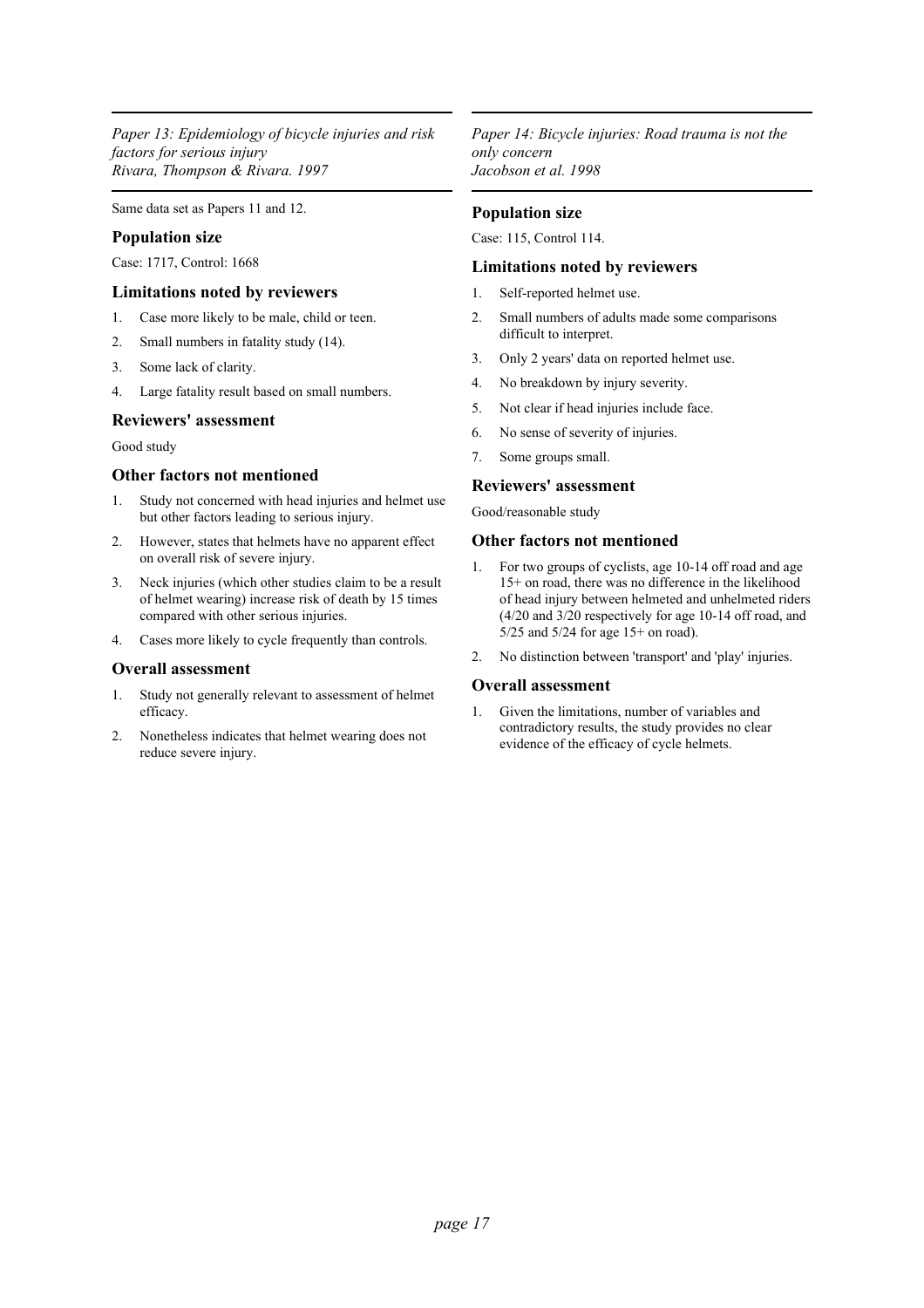*Paper 13: Epidemiology of bicycle injuries and risk factors for serious injury Rivara, Thompson & Rivara. 1997*

Same data set as Papers 11 and 12.

## **Population size**

Case: 1717, Control: 1668

### **Limitations noted by reviewers**

- 1. Case more likely to be male, child or teen.
- 2. Small numbers in fatality study (14).
- 3. Some lack of clarity.
- 4. Large fatality result based on small numbers.

#### **Reviewers' assessment**

#### Good study

### **Other factors not mentioned**

- 1. Study not concerned with head injuries and helmet use but other factors leading to serious injury.
- 2. However, states that helmets have no apparent effect on overall risk of severe injury.
- 3. Neck injuries (which other studies claim to be a result of helmet wearing) increase risk of death by 15 times compared with other serious injuries.
- 4. Cases more likely to cycle frequently than controls.

## **Overall assessment**

- 1. Study not generally relevant to assessment of helmet efficacy.
- 2. Nonetheless indicates that helmet wearing does not reduce severe injury.

*Paper 14: Bicycle injuries: Road trauma is not the only concern Jacobson et al. 1998*

### **Population size**

Case: 115, Control 114.

## **Limitations noted by reviewers**

- 1. Self-reported helmet use.
- 2. Small numbers of adults made some comparisons difficult to interpret.
- 3. Only 2 years' data on reported helmet use.
- 4. No breakdown by injury severity.
- 5. Not clear if head injuries include face.
- 6. No sense of severity of injuries.
- 7. Some groups small.

## **Reviewers' assessment**

Good/reasonable study

### **Other factors not mentioned**

- 1. For two groups of cyclists, age 10-14 off road and age 15+ on road, there was no difference in the likelihood of head injury between helmeted and unhelmeted riders (4/20 and 3/20 respectively for age 10-14 off road, and 5/25 and 5/24 for age 15+ on road).
- 2. No distinction between 'transport' and 'play' injuries.

#### **Overall assessment**

1. Given the limitations, number of variables and contradictory results, the study provides no clear evidence of the efficacy of cycle helmets.